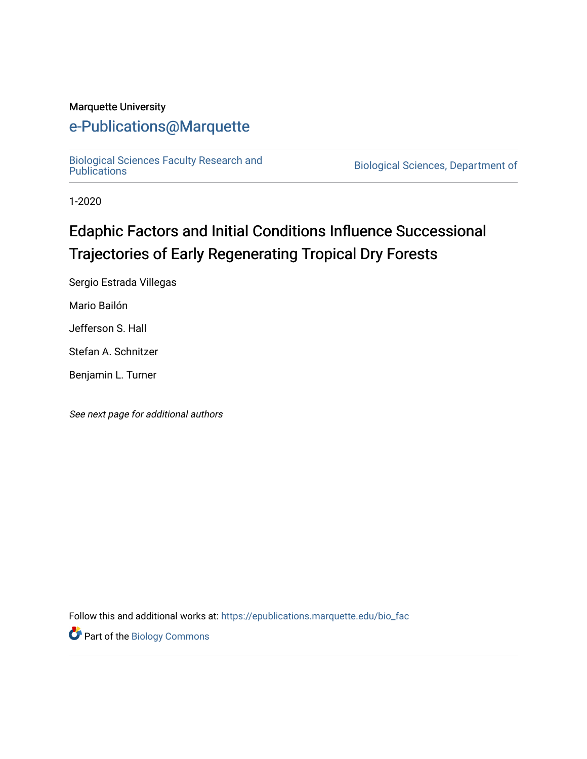#### Marquette University

## [e-Publications@Marquette](https://epublications.marquette.edu/)

[Biological Sciences Faculty Research and](https://epublications.marquette.edu/bio_fac) 

Biological Sciences, Department of

1-2020

# Edaphic Factors and Initial Conditions Influence Successional Trajectories of Early Regenerating Tropical Dry Forests

Sergio Estrada Villegas

Mario Bailón

Jefferson S. Hall

Stefan A. Schnitzer

Benjamin L. Turner

See next page for additional authors

Follow this and additional works at: [https://epublications.marquette.edu/bio\\_fac](https://epublications.marquette.edu/bio_fac?utm_source=epublications.marquette.edu%2Fbio_fac%2F805&utm_medium=PDF&utm_campaign=PDFCoverPages) 

Part of the [Biology Commons](http://network.bepress.com/hgg/discipline/41?utm_source=epublications.marquette.edu%2Fbio_fac%2F805&utm_medium=PDF&utm_campaign=PDFCoverPages)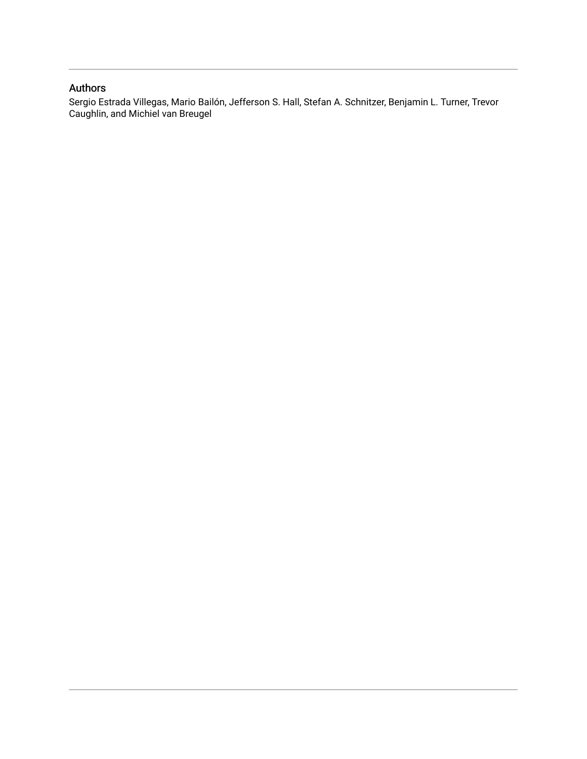#### Authors

Sergio Estrada Villegas, Mario Bailón, Jefferson S. Hall, Stefan A. Schnitzer, Benjamin L. Turner, Trevor Caughlin, and Michiel van Breugel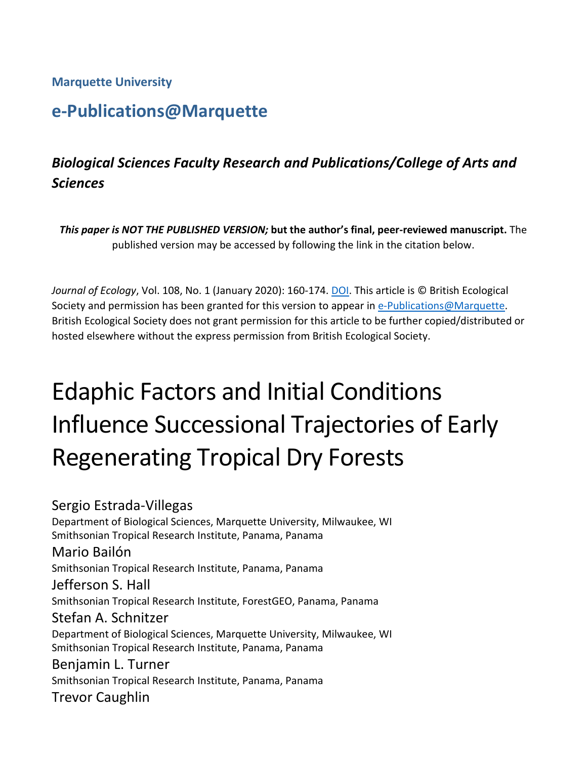**Marquette University**

# **e-Publications@Marquette**

# *Biological Sciences Faculty Research and Publications/College of Arts and Sciences*

*This paper is NOT THE PUBLISHED VERSION;* **but the author's final, peer-reviewed manuscript.** The published version may be accessed by following the link in the citation below.

*Journal of Ecology*, Vol. 108, No. 1 (January 2020): 160-174. [DOI.](https://doi.org/10.1111/1365-2745.13263) This article is © British Ecological Society and permission has been granted for this version to appear in [e-Publications@Marquette.](http://epublications.marquette.edu/) British Ecological Society does not grant permission for this article to be further copied/distributed or hosted elsewhere without the express permission from British Ecological Society.

# Edaphic Factors and Initial Conditions Influence Successional Trajectories of Early Regenerating Tropical Dry Forests

Sergio Estrada-Villegas Department of Biological Sciences, Marquette University, Milwaukee, WI Smithsonian Tropical Research Institute, Panama, Panama Mario Bailón Smithsonian Tropical Research Institute, Panama, Panama Jefferson S. Hall Smithsonian Tropical Research Institute, ForestGEO, Panama, Panama Stefan A. Schnitzer Department of Biological Sciences, Marquette University, Milwaukee, WI Smithsonian Tropical Research Institute, Panama, Panama Benjamin L. Turner Smithsonian Tropical Research Institute, Panama, Panama Trevor Caughlin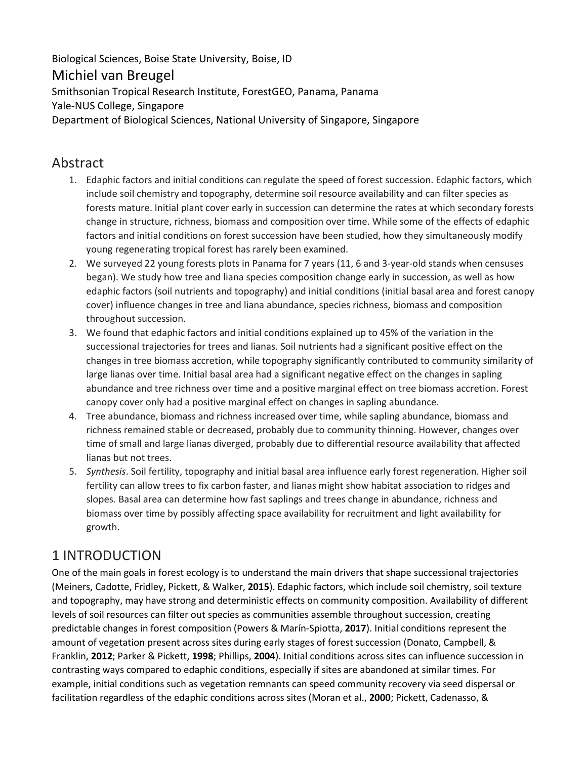Biological Sciences, Boise State University, Boise, ID

### Michiel van Breugel

Smithsonian Tropical Research Institute, ForestGEO, Panama, Panama Yale-NUS College, Singapore Department of Biological Sciences, National University of Singapore, Singapore

### Abstract

- 1. Edaphic factors and initial conditions can regulate the speed of forest succession. Edaphic factors, which include soil chemistry and topography, determine soil resource availability and can filter species as forests mature. Initial plant cover early in succession can determine the rates at which secondary forests change in structure, richness, biomass and composition over time. While some of the effects of edaphic factors and initial conditions on forest succession have been studied, how they simultaneously modify young regenerating tropical forest has rarely been examined.
- 2. We surveyed 22 young forests plots in Panama for 7 years (11, 6 and 3-year-old stands when censuses began). We study how tree and liana species composition change early in succession, as well as how edaphic factors (soil nutrients and topography) and initial conditions (initial basal area and forest canopy cover) influence changes in tree and liana abundance, species richness, biomass and composition throughout succession.
- 3. We found that edaphic factors and initial conditions explained up to 45% of the variation in the successional trajectories for trees and lianas. Soil nutrients had a significant positive effect on the changes in tree biomass accretion, while topography significantly contributed to community similarity of large lianas over time. Initial basal area had a significant negative effect on the changes in sapling abundance and tree richness over time and a positive marginal effect on tree biomass accretion. Forest canopy cover only had a positive marginal effect on changes in sapling abundance.
- 4. Tree abundance, biomass and richness increased over time, while sapling abundance, biomass and richness remained stable or decreased, probably due to community thinning. However, changes over time of small and large lianas diverged, probably due to differential resource availability that affected lianas but not trees.
- 5. *Synthesis*. Soil fertility, topography and initial basal area influence early forest regeneration. Higher soil fertility can allow trees to fix carbon faster, and lianas might show habitat association to ridges and slopes. Basal area can determine how fast saplings and trees change in abundance, richness and biomass over time by possibly affecting space availability for recruitment and light availability for growth.

# 1 INTRODUCTION

One of the main goals in forest ecology is to understand the main drivers that shape successional trajectories (Meiners, Cadotte, Fridley, Pickett, & Walker, **2015**). Edaphic factors, which include soil chemistry, soil texture and topography, may have strong and deterministic effects on community composition. Availability of different levels of soil resources can filter out species as communities assemble throughout succession, creating predictable changes in forest composition (Powers & Marín-Spiotta, **2017**). Initial conditions represent the amount of vegetation present across sites during early stages of forest succession (Donato, Campbell, & Franklin, **2012**; Parker & Pickett, **1998**; Phillips, **2004**). Initial conditions across sites can influence succession in contrasting ways compared to edaphic conditions, especially if sites are abandoned at similar times. For example, initial conditions such as vegetation remnants can speed community recovery via seed dispersal or facilitation regardless of the edaphic conditions across sites (Moran et al., **2000**; Pickett, Cadenasso, &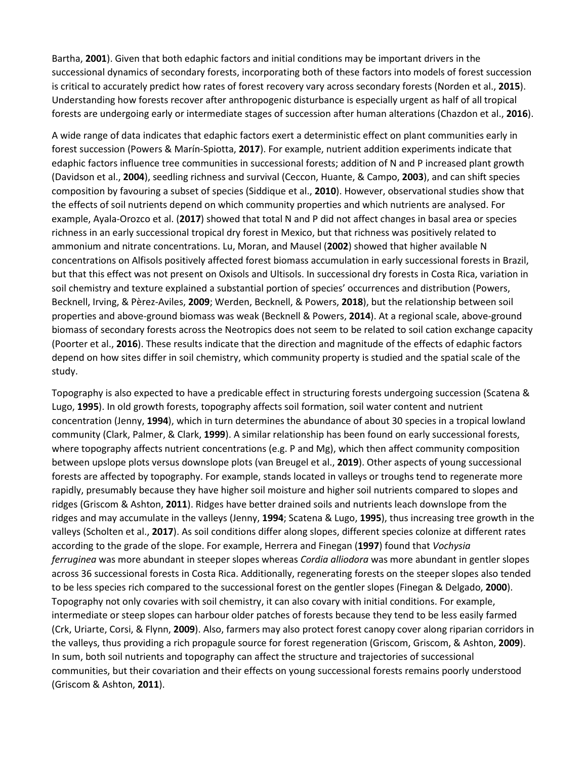Bartha, **2001**). Given that both edaphic factors and initial conditions may be important drivers in the successional dynamics of secondary forests, incorporating both of these factors into models of forest succession is critical to accurately predict how rates of forest recovery vary across secondary forests (Norden et al., **2015**). Understanding how forests recover after anthropogenic disturbance is especially urgent as half of all tropical forests are undergoing early or intermediate stages of succession after human alterations (Chazdon et al., **2016**).

A wide range of data indicates that edaphic factors exert a deterministic effect on plant communities early in forest succession (Powers & Marín-Spiotta, **2017**). For example, nutrient addition experiments indicate that edaphic factors influence tree communities in successional forests; addition of N and P increased plant growth (Davidson et al., **2004**), seedling richness and survival (Ceccon, Huante, & Campo, **2003**), and can shift species composition by favouring a subset of species (Siddique et al., **2010**). However, observational studies show that the effects of soil nutrients depend on which community properties and which nutrients are analysed. For example, Ayala-Orozco et al. (**2017**) showed that total N and P did not affect changes in basal area or species richness in an early successional tropical dry forest in Mexico, but that richness was positively related to ammonium and nitrate concentrations. Lu, Moran, and Mausel (**2002**) showed that higher available N concentrations on Alfisols positively affected forest biomass accumulation in early successional forests in Brazil, but that this effect was not present on Oxisols and Ultisols. In successional dry forests in Costa Rica, variation in soil chemistry and texture explained a substantial portion of species' occurrences and distribution (Powers, Becknell, Irving, & Pèrez-Aviles, **2009**; Werden, Becknell, & Powers, **2018**), but the relationship between soil properties and above-ground biomass was weak (Becknell & Powers, **2014**). At a regional scale, above-ground biomass of secondary forests across the Neotropics does not seem to be related to soil cation exchange capacity (Poorter et al., **2016**). These results indicate that the direction and magnitude of the effects of edaphic factors depend on how sites differ in soil chemistry, which community property is studied and the spatial scale of the study.

Topography is also expected to have a predicable effect in structuring forests undergoing succession (Scatena & Lugo, **1995**). In old growth forests, topography affects soil formation, soil water content and nutrient concentration (Jenny, **1994**), which in turn determines the abundance of about 30 species in a tropical lowland community (Clark, Palmer, & Clark, **1999**). A similar relationship has been found on early successional forests, where topography affects nutrient concentrations (e.g. P and Mg), which then affect community composition between upslope plots versus downslope plots (van Breugel et al., **2019**). Other aspects of young successional forests are affected by topography. For example, stands located in valleys or troughs tend to regenerate more rapidly, presumably because they have higher soil moisture and higher soil nutrients compared to slopes and ridges (Griscom & Ashton, **2011**). Ridges have better drained soils and nutrients leach downslope from the ridges and may accumulate in the valleys (Jenny, **1994**; Scatena & Lugo, **1995**), thus increasing tree growth in the valleys (Scholten et al., **2017**). As soil conditions differ along slopes, different species colonize at different rates according to the grade of the slope. For example, Herrera and Finegan (**1997**) found that *Vochysia ferruginea* was more abundant in steeper slopes whereas *Cordia alliodora* was more abundant in gentler slopes across 36 successional forests in Costa Rica. Additionally, regenerating forests on the steeper slopes also tended to be less species rich compared to the successional forest on the gentler slopes (Finegan & Delgado, **2000**). Topography not only covaries with soil chemistry, it can also covary with initial conditions. For example, intermediate or steep slopes can harbour older patches of forests because they tend to be less easily farmed (Crk, Uriarte, Corsi, & Flynn, **2009**). Also, farmers may also protect forest canopy cover along riparian corridors in the valleys, thus providing a rich propagule source for forest regeneration (Griscom, Griscom, & Ashton, **2009**). In sum, both soil nutrients and topography can affect the structure and trajectories of successional communities, but their covariation and their effects on young successional forests remains poorly understood (Griscom & Ashton, **2011**).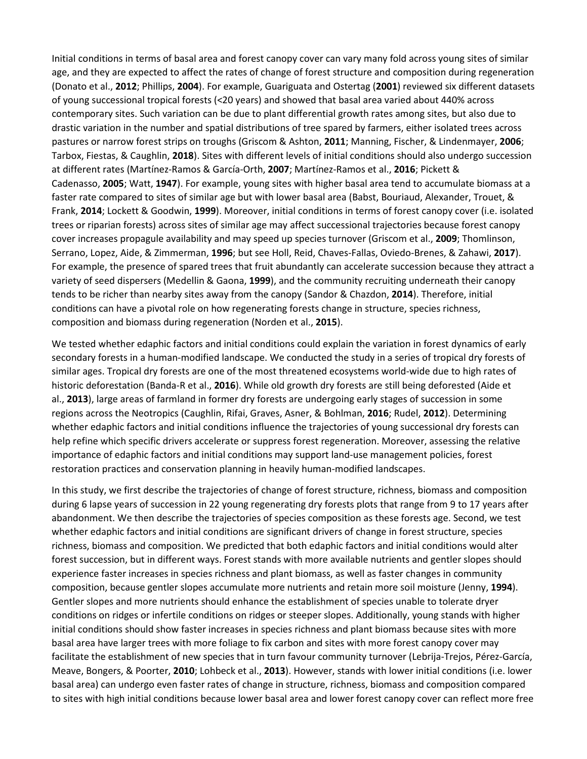Initial conditions in terms of basal area and forest canopy cover can vary many fold across young sites of similar age, and they are expected to affect the rates of change of forest structure and composition during regeneration (Donato et al., **2012**; Phillips, **2004**). For example, Guariguata and Ostertag (**2001**) reviewed six different datasets of young successional tropical forests (<20 years) and showed that basal area varied about 440% across contemporary sites. Such variation can be due to plant differential growth rates among sites, but also due to drastic variation in the number and spatial distributions of tree spared by farmers, either isolated trees across pastures or narrow forest strips on troughs (Griscom & Ashton, **2011**; Manning, Fischer, & Lindenmayer, **2006**; Tarbox, Fiestas, & Caughlin, **2018**). Sites with different levels of initial conditions should also undergo succession at different rates (Martínez-Ramos & García-Orth, **2007**; Martínez-Ramos et al., **2016**; Pickett & Cadenasso, **2005**; Watt, **1947**). For example, young sites with higher basal area tend to accumulate biomass at a faster rate compared to sites of similar age but with lower basal area (Babst, Bouriaud, Alexander, Trouet, & Frank, **2014**; Lockett & Goodwin, **1999**). Moreover, initial conditions in terms of forest canopy cover (i.e. isolated trees or riparian forests) across sites of similar age may affect successional trajectories because forest canopy cover increases propagule availability and may speed up species turnover (Griscom et al., **2009**; Thomlinson, Serrano, Lopez, Aide, & Zimmerman, **1996**; but see Holl, Reid, Chaves-Fallas, Oviedo-Brenes, & Zahawi, **2017**). For example, the presence of spared trees that fruit abundantly can accelerate succession because they attract a variety of seed dispersers (Medellin & Gaona, **1999**), and the community recruiting underneath their canopy tends to be richer than nearby sites away from the canopy (Sandor & Chazdon, **2014**). Therefore, initial conditions can have a pivotal role on how regenerating forests change in structure, species richness, composition and biomass during regeneration (Norden et al., **2015**).

We tested whether edaphic factors and initial conditions could explain the variation in forest dynamics of early secondary forests in a human-modified landscape. We conducted the study in a series of tropical dry forests of similar ages. Tropical dry forests are one of the most threatened ecosystems world-wide due to high rates of historic deforestation (Banda-R et al., **2016**). While old growth dry forests are still being deforested (Aide et al., **2013**), large areas of farmland in former dry forests are undergoing early stages of succession in some regions across the Neotropics (Caughlin, Rifai, Graves, Asner, & Bohlman, **2016**; Rudel, **2012**). Determining whether edaphic factors and initial conditions influence the trajectories of young successional dry forests can help refine which specific drivers accelerate or suppress forest regeneration. Moreover, assessing the relative importance of edaphic factors and initial conditions may support land-use management policies, forest restoration practices and conservation planning in heavily human-modified landscapes.

In this study, we first describe the trajectories of change of forest structure, richness, biomass and composition during 6 lapse years of succession in 22 young regenerating dry forests plots that range from 9 to 17 years after abandonment. We then describe the trajectories of species composition as these forests age. Second, we test whether edaphic factors and initial conditions are significant drivers of change in forest structure, species richness, biomass and composition. We predicted that both edaphic factors and initial conditions would alter forest succession, but in different ways. Forest stands with more available nutrients and gentler slopes should experience faster increases in species richness and plant biomass, as well as faster changes in community composition, because gentler slopes accumulate more nutrients and retain more soil moisture (Jenny, **1994**). Gentler slopes and more nutrients should enhance the establishment of species unable to tolerate dryer conditions on ridges or infertile conditions on ridges or steeper slopes. Additionally, young stands with higher initial conditions should show faster increases in species richness and plant biomass because sites with more basal area have larger trees with more foliage to fix carbon and sites with more forest canopy cover may facilitate the establishment of new species that in turn favour community turnover (Lebrija-Trejos, Pérez-García, Meave, Bongers, & Poorter, **2010**; Lohbeck et al., **2013**). However, stands with lower initial conditions (i.e. lower basal area) can undergo even faster rates of change in structure, richness, biomass and composition compared to sites with high initial conditions because lower basal area and lower forest canopy cover can reflect more free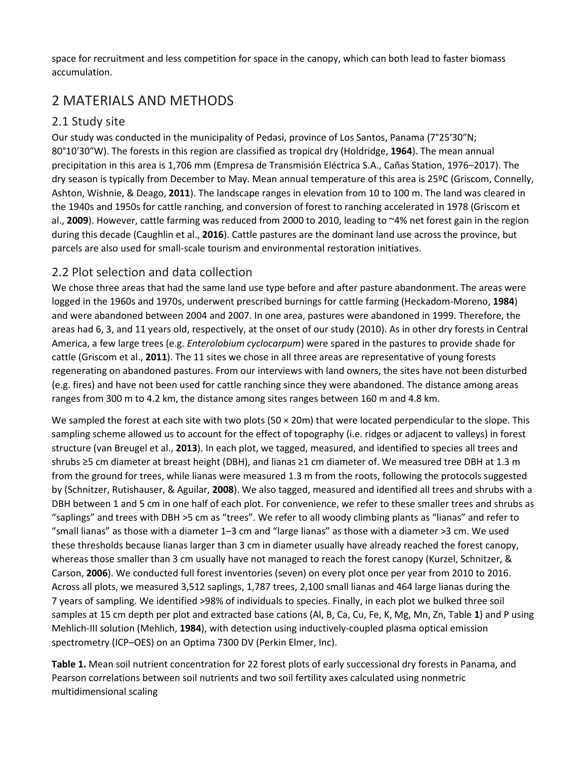space for recruitment and less competition for space in the canopy, which can both lead to faster biomass accumulation.

# 2 MATERIALS AND METHODS

### 2.1 Study site

Our study was conducted in the municipality of Pedasi, province of Los Santos, Panama (7°25′30″N; 80°10′30″W). The forests in this region are classified as tropical dry (Holdridge, **1964**). The mean annual precipitation in this area is 1,706 mm (Empresa de Transmisión Eléctrica S.A., Cañas Station, 1976–2017). The dry season is typically from December to May. Mean annual temperature of this area is 25ºC (Griscom, Connelly, Ashton, Wishnie, & Deago, **2011**). The landscape ranges in elevation from 10 to 100 m. The land was cleared in the 1940s and 1950s for cattle ranching, and conversion of forest to ranching accelerated in 1978 (Griscom et al., **2009**). However, cattle farming was reduced from 2000 to 2010, leading to ~4% net forest gain in the region during this decade (Caughlin et al., **2016**). Cattle pastures are the dominant land use across the province, but parcels are also used for small-scale tourism and environmental restoration initiatives.

### 2.2 Plot selection and data collection

We chose three areas that had the same land use type before and after pasture abandonment. The areas were logged in the 1960s and 1970s, underwent prescribed burnings for cattle farming (Heckadom-Moreno, **1984**) and were abandoned between 2004 and 2007. In one area, pastures were abandoned in 1999. Therefore, the areas had 6, 3, and 11 years old, respectively, at the onset of our study (2010). As in other dry forests in Central America, a few large trees (e.g. *Enterolobium cyclocarpum*) were spared in the pastures to provide shade for cattle (Griscom et al., **2011**). The 11 sites we chose in all three areas are representative of young forests regenerating on abandoned pastures. From our interviews with land owners, the sites have not been disturbed (e.g. fires) and have not been used for cattle ranching since they were abandoned. The distance among areas ranges from 300 m to 4.2 km, the distance among sites ranges between 160 m and 4.8 km.

We sampled the forest at each site with two plots (50  $\times$  20m) that were located perpendicular to the slope. This sampling scheme allowed us to account for the effect of topography (i.e. ridges or adjacent to valleys) in forest structure (van Breugel et al., **2013**). In each plot, we tagged, measured, and identified to species all trees and shrubs ≥5 cm diameter at breast height (DBH), and lianas ≥1 cm diameter of. We measured tree DBH at 1.3 m from the ground for trees, while lianas were measured 1.3 m from the roots, following the protocols suggested by (Schnitzer, Rutishauser, & Aguilar, **2008**). We also tagged, measured and identified all trees and shrubs with a DBH between 1 and 5 cm in one half of each plot. For convenience, we refer to these smaller trees and shrubs as "saplings" and trees with DBH >5 cm as "trees". We refer to all woody climbing plants as "lianas" and refer to "small lianas" as those with a diameter 1–3 cm and "large lianas" as those with a diameter >3 cm. We used these thresholds because lianas larger than 3 cm in diameter usually have already reached the forest canopy, whereas those smaller than 3 cm usually have not managed to reach the forest canopy (Kurzel, Schnitzer, & Carson, **2006**). We conducted full forest inventories (seven) on every plot once per year from 2010 to 2016. Across all plots, we measured 3,512 saplings, 1,787 trees, 2,100 small lianas and 464 large lianas during the 7 years of sampling. We identified >98% of individuals to species. Finally, in each plot we bulked three soil samples at 15 cm depth per plot and extracted base cations (Al, B, Ca, Cu, Fe, K, Mg, Mn, Zn, Table **1**) and P using Mehlich-III solution (Mehlich, **1984**), with detection using inductively-coupled plasma optical emission spectrometry (ICP–OES) on an Optima 7300 DV (Perkin Elmer, Inc).

**Table 1.** Mean soil nutrient concentration for 22 forest plots of early successional dry forests in Panama, and Pearson correlations between soil nutrients and two soil fertility axes calculated using nonmetric multidimensional scaling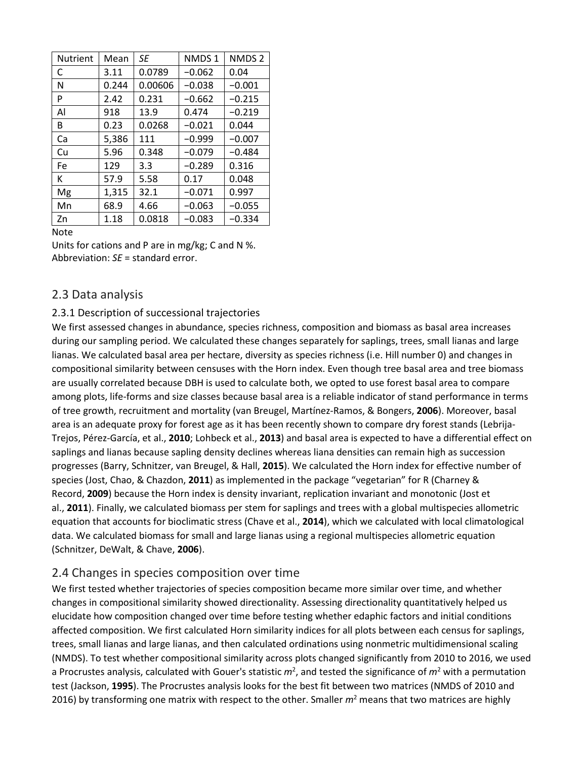| <b>Nutrient</b> | Mean  | SE      | NMDS <sub>1</sub> | NMDS <sub>2</sub> |
|-----------------|-------|---------|-------------------|-------------------|
| C               | 3.11  | 0.0789  | $-0.062$          | 0.04              |
| N               | 0.244 | 0.00606 | $-0.038$          | $-0.001$          |
| P               | 2.42  | 0.231   | $-0.662$          | $-0.215$          |
| Al              | 918   | 13.9    | 0.474             | $-0.219$          |
| B               | 0.23  | 0.0268  | $-0.021$          | 0.044             |
| Ca              | 5,386 | 111     | $-0.999$          | $-0.007$          |
| Cu              | 5.96  | 0.348   | $-0.079$          | $-0.484$          |
| Fe              | 129   | 3.3     | $-0.289$          | 0.316             |
| К               | 57.9  | 5.58    | 0.17              | 0.048             |
| Mg              | 1,315 | 32.1    | $-0.071$          | 0.997             |
| Mn              | 68.9  | 4.66    | $-0.063$          | $-0.055$          |
| Zn              | 1.18  | 0.0818  | $-0.083$          | $-0.334$          |

#### Note

Units for cations and P are in mg/kg; C and N %. Abbreviation: *SE* = standard error.

### 2.3 Data analysis

#### 2.3.1 Description of successional trajectories

We first assessed changes in abundance, species richness, composition and biomass as basal area increases during our sampling period. We calculated these changes separately for saplings, trees, small lianas and large lianas. We calculated basal area per hectare, diversity as species richness (i.e. Hill number 0) and changes in compositional similarity between censuses with the Horn index. Even though tree basal area and tree biomass are usually correlated because DBH is used to calculate both, we opted to use forest basal area to compare among plots, life-forms and size classes because basal area is a reliable indicator of stand performance in terms of tree growth, recruitment and mortality (van Breugel, Martínez-Ramos, & Bongers, **2006**). Moreover, basal area is an adequate proxy for forest age as it has been recently shown to compare dry forest stands (Lebrija-Trejos, Pérez-García, et al., **2010**; Lohbeck et al., **2013**) and basal area is expected to have a differential effect on saplings and lianas because sapling density declines whereas liana densities can remain high as succession progresses (Barry, Schnitzer, van Breugel, & Hall, **2015**). We calculated the Horn index for effective number of species (Jost, Chao, & Chazdon, **2011**) as implemented in the package "vegetarian" for R (Charney & Record, **2009**) because the Horn index is density invariant, replication invariant and monotonic (Jost et al., **2011**). Finally, we calculated biomass per stem for saplings and trees with a global multispecies allometric equation that accounts for bioclimatic stress (Chave et al., **2014**), which we calculated with local climatological data. We calculated biomass for small and large lianas using a regional multispecies allometric equation (Schnitzer, DeWalt, & Chave, **2006**).

### 2.4 Changes in species composition over time

We first tested whether trajectories of species composition became more similar over time, and whether changes in compositional similarity showed directionality. Assessing directionality quantitatively helped us elucidate how composition changed over time before testing whether edaphic factors and initial conditions affected composition. We first calculated Horn similarity indices for all plots between each census for saplings, trees, small lianas and large lianas, and then calculated ordinations using nonmetric multidimensional scaling (NMDS). To test whether compositional similarity across plots changed significantly from 2010 to 2016, we used a Procrustes analysis, calculated with Gouer's statistic *m*<sup>2</sup> , and tested the significance of *m*<sup>2</sup> with a permutation test (Jackson, **1995**). The Procrustes analysis looks for the best fit between two matrices (NMDS of 2010 and 2016) by transforming one matrix with respect to the other. Smaller *m*<sup>2</sup> means that two matrices are highly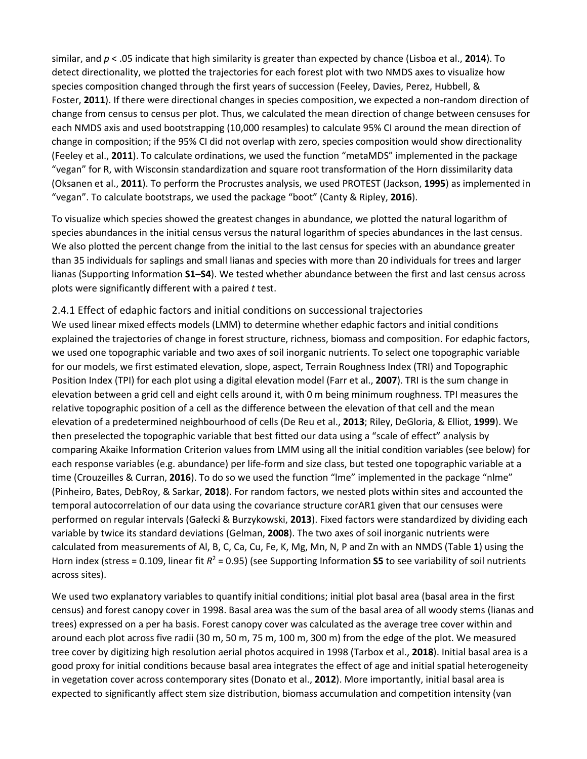similar, and *p* < .05 indicate that high similarity is greater than expected by chance (Lisboa et al., **2014**). To detect directionality, we plotted the trajectories for each forest plot with two NMDS axes to visualize how species composition changed through the first years of succession (Feeley, Davies, Perez, Hubbell, & Foster, **2011**). If there were directional changes in species composition, we expected a non-random direction of change from census to census per plot. Thus, we calculated the mean direction of change between censuses for each NMDS axis and used bootstrapping (10,000 resamples) to calculate 95% CI around the mean direction of change in composition; if the 95% CI did not overlap with zero, species composition would show directionality (Feeley et al., **2011**). To calculate ordinations, we used the function "metaMDS" implemented in the package "vegan" for R, with Wisconsin standardization and square root transformation of the Horn dissimilarity data (Oksanen et al., **2011**). To perform the Procrustes analysis, we used PROTEST (Jackson, **1995**) as implemented in "vegan". To calculate bootstraps, we used the package "boot" (Canty & Ripley, **2016**).

To visualize which species showed the greatest changes in abundance, we plotted the natural logarithm of species abundances in the initial census versus the natural logarithm of species abundances in the last census. We also plotted the percent change from the initial to the last census for species with an abundance greater than 35 individuals for saplings and small lianas and species with more than 20 individuals for trees and larger lianas (Supporting Information **S1–S4**). We tested whether abundance between the first and last census across plots were significantly different with a paired *t* test.

#### 2.4.1 Effect of edaphic factors and initial conditions on successional trajectories

We used linear mixed effects models (LMM) to determine whether edaphic factors and initial conditions explained the trajectories of change in forest structure, richness, biomass and composition. For edaphic factors, we used one topographic variable and two axes of soil inorganic nutrients. To select one topographic variable for our models, we first estimated elevation, slope, aspect, Terrain Roughness Index (TRI) and Topographic Position Index (TPI) for each plot using a digital elevation model (Farr et al., **2007**). TRI is the sum change in elevation between a grid cell and eight cells around it, with 0 m being minimum roughness. TPI measures the relative topographic position of a cell as the difference between the elevation of that cell and the mean elevation of a predetermined neighbourhood of cells (De Reu et al., **2013**; Riley, DeGloria, & Elliot, **1999**). We then preselected the topographic variable that best fitted our data using a "scale of effect" analysis by comparing Akaike Information Criterion values from LMM using all the initial condition variables (see below) for each response variables (e.g. abundance) per life-form and size class, but tested one topographic variable at a time (Crouzeilles & Curran, **2016**). To do so we used the function "lme" implemented in the package "nlme" (Pinheiro, Bates, DebRoy, & Sarkar, **2018**). For random factors, we nested plots within sites and accounted the temporal autocorrelation of our data using the covariance structure corAR1 given that our censuses were performed on regular intervals (Gałecki & Burzykowski, **2013**). Fixed factors were standardized by dividing each variable by twice its standard deviations (Gelman, **2008**). The two axes of soil inorganic nutrients were calculated from measurements of Al, B, C, Ca, Cu, Fe, K, Mg, Mn, N, P and Zn with an NMDS (Table **1**) using the Horn index (stress = 0.109, linear fit  $R^2$  = 0.95) (see Supporting Information **S5** to see variability of soil nutrients across sites).

We used two explanatory variables to quantify initial conditions; initial plot basal area (basal area in the first census) and forest canopy cover in 1998. Basal area was the sum of the basal area of all woody stems (lianas and trees) expressed on a per ha basis. Forest canopy cover was calculated as the average tree cover within and around each plot across five radii (30 m, 50 m, 75 m, 100 m, 300 m) from the edge of the plot. We measured tree cover by digitizing high resolution aerial photos acquired in 1998 (Tarbox et al., **2018**). Initial basal area is a good proxy for initial conditions because basal area integrates the effect of age and initial spatial heterogeneity in vegetation cover across contemporary sites (Donato et al., **2012**). More importantly, initial basal area is expected to significantly affect stem size distribution, biomass accumulation and competition intensity (van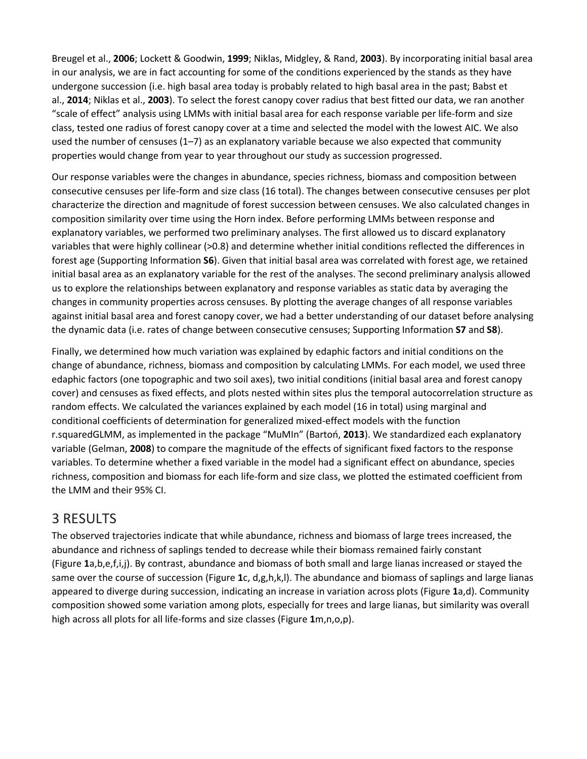Breugel et al., **2006**; Lockett & Goodwin, **1999**; Niklas, Midgley, & Rand, **2003**). By incorporating initial basal area in our analysis, we are in fact accounting for some of the conditions experienced by the stands as they have undergone succession (i.e. high basal area today is probably related to high basal area in the past; Babst et al., **2014**; Niklas et al., **2003**). To select the forest canopy cover radius that best fitted our data, we ran another "scale of effect" analysis using LMMs with initial basal area for each response variable per life-form and size class, tested one radius of forest canopy cover at a time and selected the model with the lowest AIC. We also used the number of censuses (1–7) as an explanatory variable because we also expected that community properties would change from year to year throughout our study as succession progressed.

Our response variables were the changes in abundance, species richness, biomass and composition between consecutive censuses per life-form and size class (16 total). The changes between consecutive censuses per plot characterize the direction and magnitude of forest succession between censuses. We also calculated changes in composition similarity over time using the Horn index. Before performing LMMs between response and explanatory variables, we performed two preliminary analyses. The first allowed us to discard explanatory variables that were highly collinear (>0.8) and determine whether initial conditions reflected the differences in forest age (Supporting Information **S6**). Given that initial basal area was correlated with forest age, we retained initial basal area as an explanatory variable for the rest of the analyses. The second preliminary analysis allowed us to explore the relationships between explanatory and response variables as static data by averaging the changes in community properties across censuses. By plotting the average changes of all response variables against initial basal area and forest canopy cover, we had a better understanding of our dataset before analysing the dynamic data (i.e. rates of change between consecutive censuses; Supporting Information **S7** and **S8**).

Finally, we determined how much variation was explained by edaphic factors and initial conditions on the change of abundance, richness, biomass and composition by calculating LMMs. For each model, we used three edaphic factors (one topographic and two soil axes), two initial conditions (initial basal area and forest canopy cover) and censuses as fixed effects, and plots nested within sites plus the temporal autocorrelation structure as random effects. We calculated the variances explained by each model (16 in total) using marginal and conditional coefficients of determination for generalized mixed-effect models with the function r.squaredGLMM, as implemented in the package "MuMIn" (Bartoń, **2013**). We standardized each explanatory variable (Gelman, **2008**) to compare the magnitude of the effects of significant fixed factors to the response variables. To determine whether a fixed variable in the model had a significant effect on abundance, species richness, composition and biomass for each life-form and size class, we plotted the estimated coefficient from the LMM and their 95% CI.

# 3 RESULTS

The observed trajectories indicate that while abundance, richness and biomass of large trees increased, the abundance and richness of saplings tended to decrease while their biomass remained fairly constant (Figure **1**a,b,e,f,i,j). By contrast, abundance and biomass of both small and large lianas increased or stayed the same over the course of succession (Figure **1**c, d,g,h,k,l). The abundance and biomass of saplings and large lianas appeared to diverge during succession, indicating an increase in variation across plots (Figure **1**a,d). Community composition showed some variation among plots, especially for trees and large lianas, but similarity was overall high across all plots for all life-forms and size classes (Figure **1**m,n,o,p).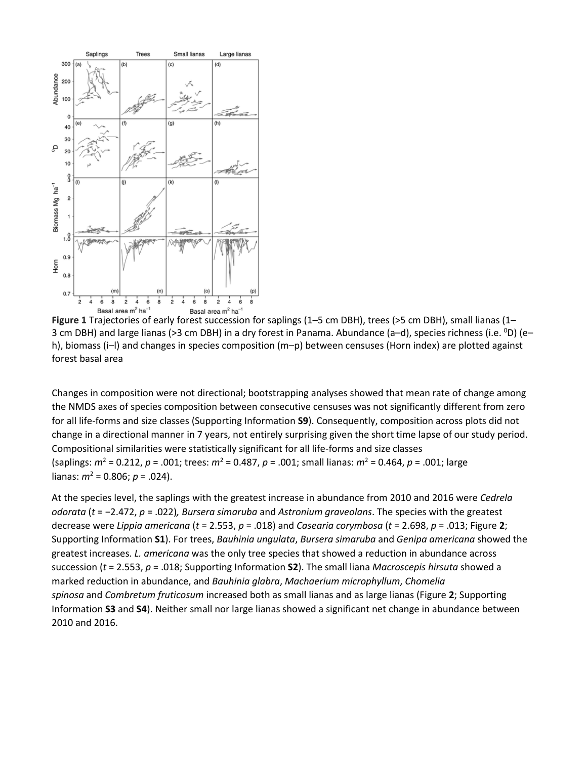

**Figure 1** Trajectories of early forest succession for saplings (1–5 cm DBH), trees (>5 cm DBH), small lianas (1– 3 cm DBH) and large lianas (>3 cm DBH) in a dry forest in Panama. Abundance (a–d), species richness (i.e. <sup>0</sup>D) (e– h), biomass (i–l) and changes in species composition (m–p) between censuses (Horn index) are plotted against forest basal area

Changes in composition were not directional; bootstrapping analyses showed that mean rate of change among the NMDS axes of species composition between consecutive censuses was not significantly different from zero for all life-forms and size classes (Supporting Information **S9**). Consequently, composition across plots did not change in a directional manner in 7 years, not entirely surprising given the short time lapse of our study period. Compositional similarities were statistically significant for all life-forms and size classes (saplings: *m*<sup>2</sup> = 0.212, *p* = .001; trees: *m*<sup>2</sup> = 0.487, *p* = .001; small lianas: *m*<sup>2</sup> = 0.464, *p* = .001; large lianas:  $m^2$  = 0.806;  $p$  = .024).

At the species level, the saplings with the greatest increase in abundance from 2010 and 2016 were *Cedrela odorata* (*t* = −2.472, *p* = .022)*, Bursera simaruba* and *Astronium graveolans*. The species with the greatest decrease were *Lippia americana* (*t* = 2.553, *p* = .018) and *Casearia corymbosa* (*t* = 2.698, *p* = .013; Figure **2**; Supporting Information **S1**). For trees, *Bauhinia ungulata*, *Bursera simaruba* and *Genipa americana* showed the greatest increases. *L. americana* was the only tree species that showed a reduction in abundance across succession (*t* = 2.553, *p* = .018; Supporting Information **S2**). The small liana *Macroscepis hirsuta* showed a marked reduction in abundance, and *Bauhinia glabra*, *Machaerium microphyllum*, *Chomelia spinosa* and *Combretum fruticosum* increased both as small lianas and as large lianas (Figure **2**; Supporting Information **S3** and **S4**). Neither small nor large lianas showed a significant net change in abundance between 2010 and 2016.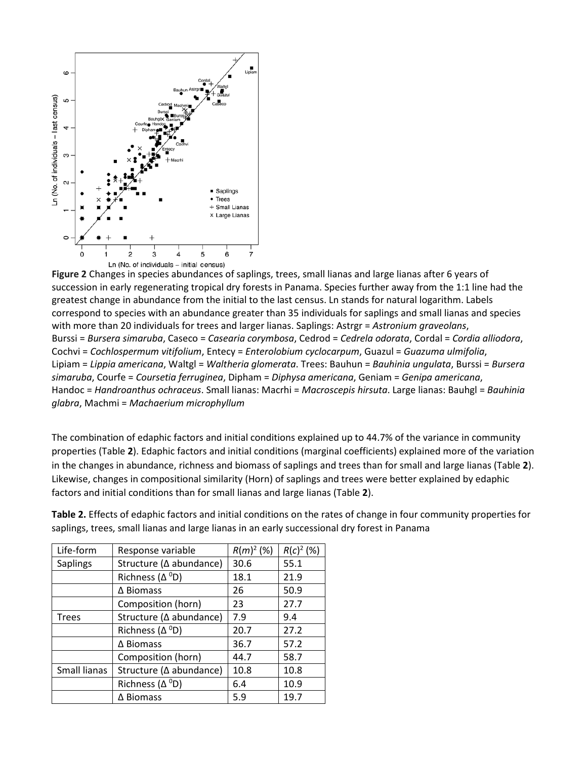

**Figure 2** Changes in species abundances of saplings, trees, small lianas and large lianas after 6 years of succession in early regenerating tropical dry forests in Panama. Species further away from the 1:1 line had the greatest change in abundance from the initial to the last census. Ln stands for natural logarithm. Labels correspond to species with an abundance greater than 35 individuals for saplings and small lianas and species with more than 20 individuals for trees and larger lianas. Saplings: Astrgr = *Astronium graveolans*, Burssi = *Bursera simaruba*, Caseco = *Casearia corymbosa*, Cedrod = *Cedrela odorata*, Cordal = *Cordia alliodora*, Cochvi = *Cochlospermum vitifolium*, Entecy = *Enterolobium cyclocarpum*, Guazul = *Guazuma ulmifolia*, Lipiam = *Lippia americana*, Waltgl = *Waltheria glomerata*. Trees: Bauhun = *Bauhinia ungulata*, Burssi = *Bursera simaruba*, Courfe = *Coursetia ferruginea*, Dipham = *Diphysa americana*, Geniam = *Genipa americana*, Handoc = *Handroanthus ochraceus*. Small lianas: Macrhi = *Macroscepis hirsuta*. Large lianas: Bauhgl = *Bauhinia glabra*, Machmi = *Machaerium microphyllum*

The combination of edaphic factors and initial conditions explained up to 44.7% of the variance in community properties (Table **2**). Edaphic factors and initial conditions (marginal coefficients) explained more of the variation in the changes in abundance, richness and biomass of saplings and trees than for small and large lianas (Table **2**). Likewise, changes in compositional similarity (Horn) of saplings and trees were better explained by edaphic factors and initial conditions than for small lianas and large lianas (Table **2**).

| Table 2. Effects of edaphic factors and initial conditions on the rates of change in four community properties for |  |
|--------------------------------------------------------------------------------------------------------------------|--|
| saplings, trees, small lianas and large lianas in an early successional dry forest in Panama                       |  |

| Life-form    | Response variable                   | $R(m)^2$ (%) | $R(c)^{2}$ (%) |
|--------------|-------------------------------------|--------------|----------------|
| Saplings     | Structure (∆ abundance)             | 30.6         | 55.1           |
|              | Richness ( $\Delta$ <sup>o</sup> D) | 18.1         | 21.9           |
|              | $\Delta$ Biomass                    | 26           | 50.9           |
|              | Composition (horn)                  | 23           | 27.7           |
| <b>Trees</b> | Structure (∆ abundance)             | 7.9          | 9.4            |
|              | Richness ( $\Delta$ <sup>o</sup> D) | 20.7         | 27.2           |
|              | $\Delta$ Biomass                    | 36.7         | 57.2           |
|              | Composition (horn)                  | 44.7         | 58.7           |
| Small lianas | Structure (∆ abundance)             | 10.8         | 10.8           |
|              | Richness ( $\Delta$ <sup>o</sup> D) | 6.4          | 10.9           |
|              | ∆ Biomass                           | 5.9          | 19.7           |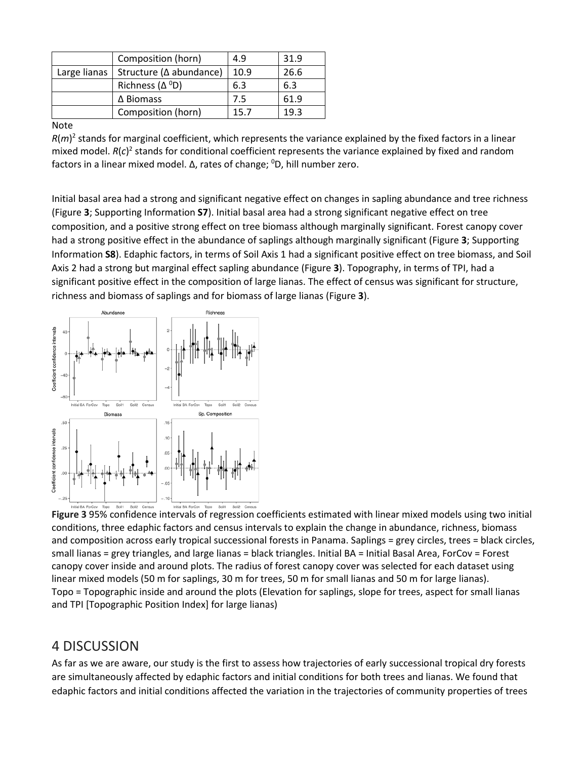|              | Composition (horn)                  | 4.9  | 31.9 |
|--------------|-------------------------------------|------|------|
| Large lianas | Structure (∆ abundance)             | 10.9 | 26.6 |
|              | Richness ( $\Delta$ <sup>o</sup> D) | 6.3  | 6.3  |
|              | $\Delta$ Biomass                    | 7.5  | 61.9 |
|              | Composition (horn)                  | 15.7 | 19.3 |

#### Note

*R*(*m*) <sup>2</sup> stands for marginal coefficient, which represents the variance explained by the fixed factors in a linear mixed model. R(c)<sup>2</sup> stands for conditional coefficient represents the variance explained by fixed and random factors in a linear mixed model. Δ, rates of change; <sup>0</sup>D, hill number zero.

Initial basal area had a strong and significant negative effect on changes in sapling abundance and tree richness (Figure **3**; Supporting Information **S7**). Initial basal area had a strong significant negative effect on tree composition, and a positive strong effect on tree biomass although marginally significant. Forest canopy cover had a strong positive effect in the abundance of saplings although marginally significant (Figure **3**; Supporting Information **S8**). Edaphic factors, in terms of Soil Axis 1 had a significant positive effect on tree biomass, and Soil Axis 2 had a strong but marginal effect sapling abundance (Figure **3**). Topography, in terms of TPI, had a significant positive effect in the composition of large lianas. The effect of census was significant for structure, richness and biomass of saplings and for biomass of large lianas (Figure **3**).



**Figure 3** 95% confidence intervals of regression coefficients estimated with linear mixed models using two initial conditions, three edaphic factors and census intervals to explain the change in abundance, richness, biomass and composition across early tropical successional forests in Panama. Saplings = grey circles, trees = black circles, small lianas = grey triangles, and large lianas = black triangles. Initial BA = Initial Basal Area, ForCov = Forest canopy cover inside and around plots. The radius of forest canopy cover was selected for each dataset using linear mixed models (50 m for saplings, 30 m for trees, 50 m for small lianas and 50 m for large lianas). Topo = Topographic inside and around the plots (Elevation for saplings, slope for trees, aspect for small lianas and TPI [Topographic Position Index] for large lianas)

### 4 DISCUSSION

As far as we are aware, our study is the first to assess how trajectories of early successional tropical dry forests are simultaneously affected by edaphic factors and initial conditions for both trees and lianas. We found that edaphic factors and initial conditions affected the variation in the trajectories of community properties of trees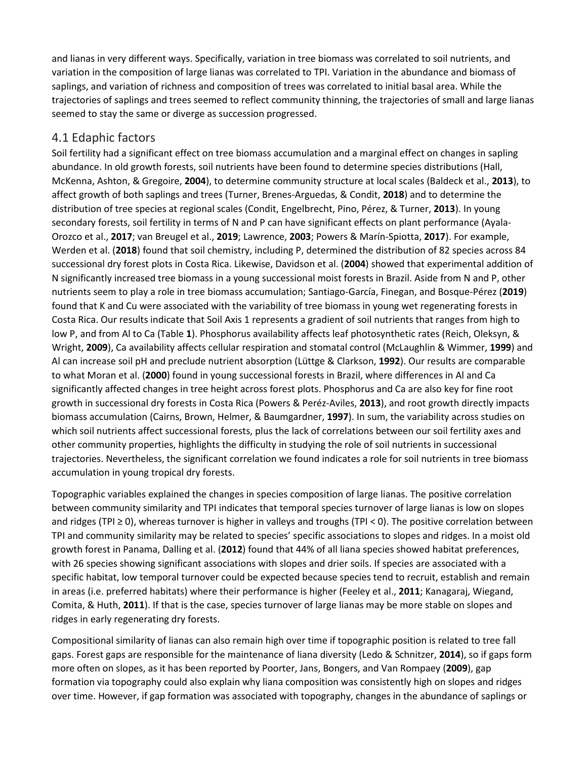and lianas in very different ways. Specifically, variation in tree biomass was correlated to soil nutrients, and variation in the composition of large lianas was correlated to TPI. Variation in the abundance and biomass of saplings, and variation of richness and composition of trees was correlated to initial basal area. While the trajectories of saplings and trees seemed to reflect community thinning, the trajectories of small and large lianas seemed to stay the same or diverge as succession progressed.

### 4.1 Edaphic factors

Soil fertility had a significant effect on tree biomass accumulation and a marginal effect on changes in sapling abundance. In old growth forests, soil nutrients have been found to determine species distributions (Hall, McKenna, Ashton, & Gregoire, **2004**), to determine community structure at local scales (Baldeck et al., **2013**), to affect growth of both saplings and trees (Turner, Brenes-Arguedas, & Condit, **2018**) and to determine the distribution of tree species at regional scales (Condit, Engelbrecht, Pino, Pérez, & Turner, **2013**). In young secondary forests, soil fertility in terms of N and P can have significant effects on plant performance (Ayala-Orozco et al., **2017**; van Breugel et al., **2019**; Lawrence, **2003**; Powers & Marín-Spiotta, **2017**). For example, Werden et al. (**2018**) found that soil chemistry, including P, determined the distribution of 82 species across 84 successional dry forest plots in Costa Rica. Likewise, Davidson et al. (**2004**) showed that experimental addition of N significantly increased tree biomass in a young successional moist forests in Brazil. Aside from N and P, other nutrients seem to play a role in tree biomass accumulation; Santiago-García, Finegan, and Bosque-Pérez (**2019**) found that K and Cu were associated with the variability of tree biomass in young wet regenerating forests in Costa Rica. Our results indicate that Soil Axis 1 represents a gradient of soil nutrients that ranges from high to low P, and from Al to Ca (Table **1**). Phosphorus availability affects leaf photosynthetic rates (Reich, Oleksyn, & Wright, **2009**), Ca availability affects cellular respiration and stomatal control (McLaughlin & Wimmer, **1999**) and Al can increase soil pH and preclude nutrient absorption (Lüttge & Clarkson, **1992**). Our results are comparable to what Moran et al. (**2000**) found in young successional forests in Brazil, where differences in Al and Ca significantly affected changes in tree height across forest plots. Phosphorus and Ca are also key for fine root growth in successional dry forests in Costa Rica (Powers & Peréz-Aviles, **2013**), and root growth directly impacts biomass accumulation (Cairns, Brown, Helmer, & Baumgardner, **1997**). In sum, the variability across studies on which soil nutrients affect successional forests, plus the lack of correlations between our soil fertility axes and other community properties, highlights the difficulty in studying the role of soil nutrients in successional trajectories. Nevertheless, the significant correlation we found indicates a role for soil nutrients in tree biomass accumulation in young tropical dry forests.

Topographic variables explained the changes in species composition of large lianas. The positive correlation between community similarity and TPI indicates that temporal species turnover of large lianas is low on slopes and ridges (TPI ≥ 0), whereas turnover is higher in valleys and troughs (TPI < 0). The positive correlation between TPI and community similarity may be related to species' specific associations to slopes and ridges. In a moist old growth forest in Panama, Dalling et al. (**2012**) found that 44% of all liana species showed habitat preferences, with 26 species showing significant associations with slopes and drier soils. If species are associated with a specific habitat, low temporal turnover could be expected because species tend to recruit, establish and remain in areas (i.e. preferred habitats) where their performance is higher (Feeley et al., **2011**; Kanagaraj, Wiegand, Comita, & Huth, **2011**). If that is the case, species turnover of large lianas may be more stable on slopes and ridges in early regenerating dry forests.

Compositional similarity of lianas can also remain high over time if topographic position is related to tree fall gaps. Forest gaps are responsible for the maintenance of liana diversity (Ledo & Schnitzer, **2014**), so if gaps form more often on slopes, as it has been reported by Poorter, Jans, Bongers, and Van Rompaey (**2009**), gap formation via topography could also explain why liana composition was consistently high on slopes and ridges over time. However, if gap formation was associated with topography, changes in the abundance of saplings or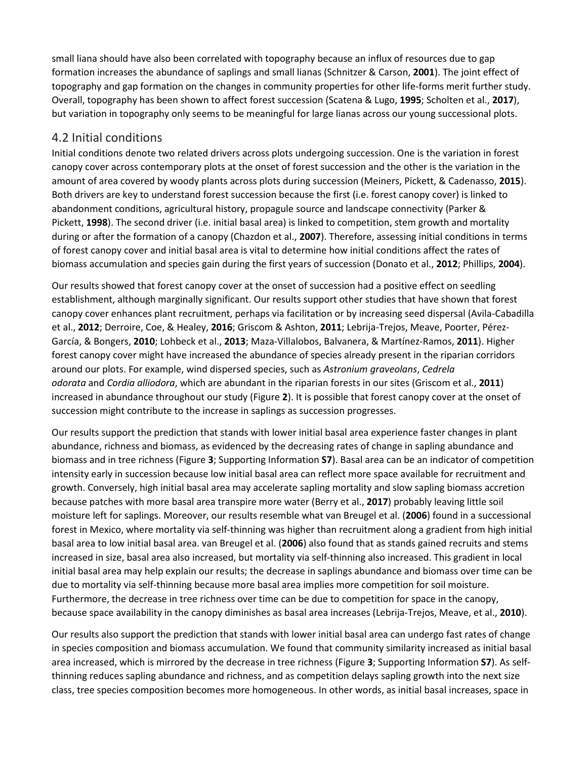small liana should have also been correlated with topography because an influx of resources due to gap formation increases the abundance of saplings and small lianas (Schnitzer & Carson, **2001**). The joint effect of topography and gap formation on the changes in community properties for other life-forms merit further study. Overall, topography has been shown to affect forest succession (Scatena & Lugo, **1995**; Scholten et al., **2017**), but variation in topography only seems to be meaningful for large lianas across our young successional plots.

### 4.2 Initial conditions

Initial conditions denote two related drivers across plots undergoing succession. One is the variation in forest canopy cover across contemporary plots at the onset of forest succession and the other is the variation in the amount of area covered by woody plants across plots during succession (Meiners, Pickett, & Cadenasso, **2015**). Both drivers are key to understand forest succession because the first (i.e. forest canopy cover) is linked to abandonment conditions, agricultural history, propagule source and landscape connectivity (Parker & Pickett, **1998**). The second driver (i.e. initial basal area) is linked to competition, stem growth and mortality during or after the formation of a canopy (Chazdon et al., **2007**). Therefore, assessing initial conditions in terms of forest canopy cover and initial basal area is vital to determine how initial conditions affect the rates of biomass accumulation and species gain during the first years of succession (Donato et al., **2012**; Phillips, **2004**).

Our results showed that forest canopy cover at the onset of succession had a positive effect on seedling establishment, although marginally significant. Our results support other studies that have shown that forest canopy cover enhances plant recruitment, perhaps via facilitation or by increasing seed dispersal (Avila-Cabadilla et al., **2012**; Derroire, Coe, & Healey, **2016**; Griscom & Ashton, **2011**; Lebrija-Trejos, Meave, Poorter, Pérez-García, & Bongers, **2010**; Lohbeck et al., **2013**; Maza-Villalobos, Balvanera, & Martínez-Ramos, **2011**). Higher forest canopy cover might have increased the abundance of species already present in the riparian corridors around our plots. For example, wind dispersed species, such as *Astronium graveolans*, *Cedrela odorata* and *Cordia alliodora*, which are abundant in the riparian forests in our sites (Griscom et al., **2011**) increased in abundance throughout our study (Figure **2**). It is possible that forest canopy cover at the onset of succession might contribute to the increase in saplings as succession progresses.

Our results support the prediction that stands with lower initial basal area experience faster changes in plant abundance, richness and biomass, as evidenced by the decreasing rates of change in sapling abundance and biomass and in tree richness (Figure **3**; Supporting Information **S7**). Basal area can be an indicator of competition intensity early in succession because low initial basal area can reflect more space available for recruitment and growth. Conversely, high initial basal area may accelerate sapling mortality and slow sapling biomass accretion because patches with more basal area transpire more water (Berry et al., **2017**) probably leaving little soil moisture left for saplings. Moreover, our results resemble what van Breugel et al. (**2006**) found in a successional forest in Mexico, where mortality via self-thinning was higher than recruitment along a gradient from high initial basal area to low initial basal area. van Breugel et al. (**2006**) also found that as stands gained recruits and stems increased in size, basal area also increased, but mortality via self-thinning also increased. This gradient in local initial basal area may help explain our results; the decrease in saplings abundance and biomass over time can be due to mortality via self-thinning because more basal area implies more competition for soil moisture. Furthermore, the decrease in tree richness over time can be due to competition for space in the canopy, because space availability in the canopy diminishes as basal area increases (Lebrija-Trejos, Meave, et al., **2010**).

Our results also support the prediction that stands with lower initial basal area can undergo fast rates of change in species composition and biomass accumulation. We found that community similarity increased as initial basal area increased, which is mirrored by the decrease in tree richness (Figure **3**; Supporting Information **S7**). As selfthinning reduces sapling abundance and richness, and as competition delays sapling growth into the next size class, tree species composition becomes more homogeneous. In other words, as initial basal increases, space in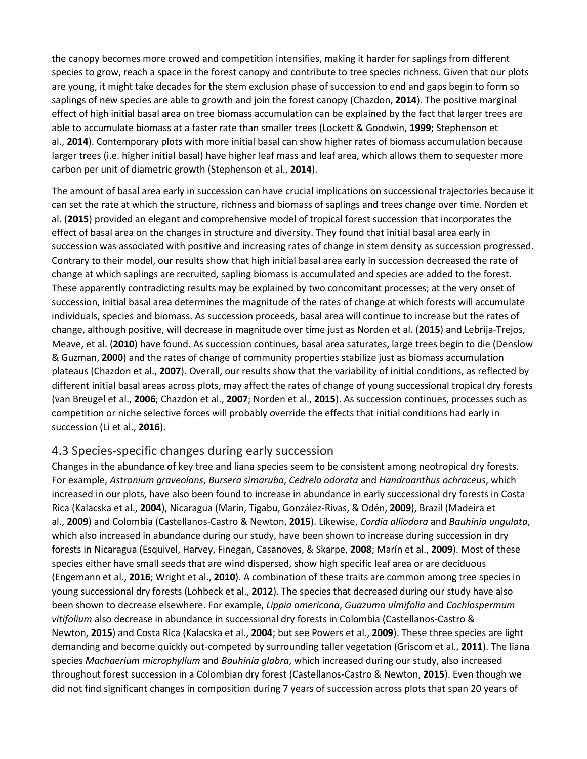the canopy becomes more crowed and competition intensifies, making it harder for saplings from different species to grow, reach a space in the forest canopy and contribute to tree species richness. Given that our plots are young, it might take decades for the stem exclusion phase of succession to end and gaps begin to form so saplings of new species are able to growth and join the forest canopy (Chazdon, **2014**). The positive marginal effect of high initial basal area on tree biomass accumulation can be explained by the fact that larger trees are able to accumulate biomass at a faster rate than smaller trees (Lockett & Goodwin, **1999**; Stephenson et al., **2014**). Contemporary plots with more initial basal can show higher rates of biomass accumulation because larger trees (i.e. higher initial basal) have higher leaf mass and leaf area, which allows them to sequester more carbon per unit of diametric growth (Stephenson et al., **2014**).

The amount of basal area early in succession can have crucial implications on successional trajectories because it can set the rate at which the structure, richness and biomass of saplings and trees change over time. Norden et al. (**2015**) provided an elegant and comprehensive model of tropical forest succession that incorporates the effect of basal area on the changes in structure and diversity. They found that initial basal area early in succession was associated with positive and increasing rates of change in stem density as succession progressed. Contrary to their model, our results show that high initial basal area early in succession decreased the rate of change at which saplings are recruited, sapling biomass is accumulated and species are added to the forest. These apparently contradicting results may be explained by two concomitant processes; at the very onset of succession, initial basal area determines the magnitude of the rates of change at which forests will accumulate individuals, species and biomass. As succession proceeds, basal area will continue to increase but the rates of change, although positive, will decrease in magnitude over time just as Norden et al. (**2015**) and Lebrija-Trejos, Meave, et al. (**2010**) have found. As succession continues, basal area saturates, large trees begin to die (Denslow & Guzman, **2000**) and the rates of change of community properties stabilize just as biomass accumulation plateaus (Chazdon et al., **2007**). Overall, our results show that the variability of initial conditions, as reflected by different initial basal areas across plots, may affect the rates of change of young successional tropical dry forests (van Breugel et al., **2006**; Chazdon et al., **2007**; Norden et al., **2015**). As succession continues, processes such as competition or niche selective forces will probably override the effects that initial conditions had early in succession (Li et al., **2016**).

#### 4.3 Species-specific changes during early succession

Changes in the abundance of key tree and liana species seem to be consistent among neotropical dry forests. For example, *Astronium graveolans*, *Bursera simaruba*, *Cedrela odorata* and *Handroanthus ochraceus*, which increased in our plots, have also been found to increase in abundance in early successional dry forests in Costa Rica (Kalacska et al., **2004**), Nicaragua (Marín, Tigabu, González-Rivas, & Odén, **2009**), Brazil (Madeira et al., **2009**) and Colombia (Castellanos-Castro & Newton, **2015**). Likewise, *Cordia alliodora* and *Bauhinia ungulata*, which also increased in abundance during our study, have been shown to increase during succession in dry forests in Nicaragua (Esquivel, Harvey, Finegan, Casanoves, & Skarpe, **2008**; Marín et al., **2009**). Most of these species either have small seeds that are wind dispersed, show high specific leaf area or are deciduous (Engemann et al., **2016**; Wright et al., **2010**). A combination of these traits are common among tree species in young successional dry forests (Lohbeck et al., **2012**). The species that decreased during our study have also been shown to decrease elsewhere. For example, *Lippia americana*, *Guazuma ulmifolia* and *Cochlospermum vitifolium* also decrease in abundance in successional dry forests in Colombia (Castellanos-Castro & Newton, **2015**) and Costa Rica (Kalacska et al., **2004**; but see Powers et al., **2009**). These three species are light demanding and become quickly out-competed by surrounding taller vegetation (Griscom et al., **2011**). The liana species *Machaerium microphyllum* and *Bauhinia glabra*, which increased during our study, also increased throughout forest succession in a Colombian dry forest (Castellanos-Castro & Newton, **2015**). Even though we did not find significant changes in composition during 7 years of succession across plots that span 20 years of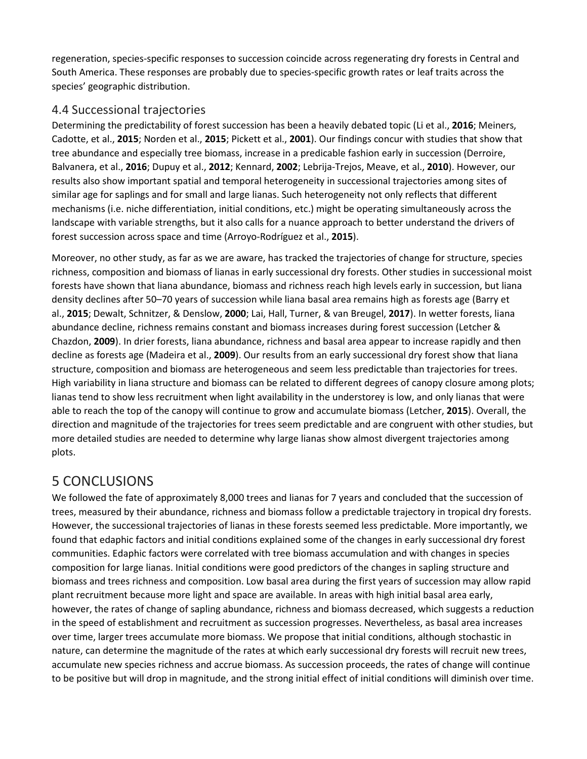regeneration, species-specific responses to succession coincide across regenerating dry forests in Central and South America. These responses are probably due to species-specific growth rates or leaf traits across the species' geographic distribution.

### 4.4 Successional trajectories

Determining the predictability of forest succession has been a heavily debated topic (Li et al., **2016**; Meiners, Cadotte, et al., **2015**; Norden et al., **2015**; Pickett et al., **2001**). Our findings concur with studies that show that tree abundance and especially tree biomass, increase in a predicable fashion early in succession (Derroire, Balvanera, et al., **2016**; Dupuy et al., **2012**; Kennard, **2002**; Lebrija-Trejos, Meave, et al., **2010**). However, our results also show important spatial and temporal heterogeneity in successional trajectories among sites of similar age for saplings and for small and large lianas. Such heterogeneity not only reflects that different mechanisms (i.e. niche differentiation, initial conditions, etc.) might be operating simultaneously across the landscape with variable strengths, but it also calls for a nuance approach to better understand the drivers of forest succession across space and time (Arroyo-Rodríguez et al., **2015**).

Moreover, no other study, as far as we are aware, has tracked the trajectories of change for structure, species richness, composition and biomass of lianas in early successional dry forests. Other studies in successional moist forests have shown that liana abundance, biomass and richness reach high levels early in succession, but liana density declines after 50–70 years of succession while liana basal area remains high as forests age (Barry et al., **2015**; Dewalt, Schnitzer, & Denslow, **2000**; Lai, Hall, Turner, & van Breugel, **2017**). In wetter forests, liana abundance decline, richness remains constant and biomass increases during forest succession (Letcher & Chazdon, **2009**). In drier forests, liana abundance, richness and basal area appear to increase rapidly and then decline as forests age (Madeira et al., **2009**). Our results from an early successional dry forest show that liana structure, composition and biomass are heterogeneous and seem less predictable than trajectories for trees. High variability in liana structure and biomass can be related to different degrees of canopy closure among plots; lianas tend to show less recruitment when light availability in the understorey is low, and only lianas that were able to reach the top of the canopy will continue to grow and accumulate biomass (Letcher, **2015**). Overall, the direction and magnitude of the trajectories for trees seem predictable and are congruent with other studies, but more detailed studies are needed to determine why large lianas show almost divergent trajectories among plots.

### 5 CONCLUSIONS

We followed the fate of approximately 8,000 trees and lianas for 7 years and concluded that the succession of trees, measured by their abundance, richness and biomass follow a predictable trajectory in tropical dry forests. However, the successional trajectories of lianas in these forests seemed less predictable. More importantly, we found that edaphic factors and initial conditions explained some of the changes in early successional dry forest communities. Edaphic factors were correlated with tree biomass accumulation and with changes in species composition for large lianas. Initial conditions were good predictors of the changes in sapling structure and biomass and trees richness and composition. Low basal area during the first years of succession may allow rapid plant recruitment because more light and space are available. In areas with high initial basal area early, however, the rates of change of sapling abundance, richness and biomass decreased, which suggests a reduction in the speed of establishment and recruitment as succession progresses. Nevertheless, as basal area increases over time, larger trees accumulate more biomass. We propose that initial conditions, although stochastic in nature, can determine the magnitude of the rates at which early successional dry forests will recruit new trees, accumulate new species richness and accrue biomass. As succession proceeds, the rates of change will continue to be positive but will drop in magnitude, and the strong initial effect of initial conditions will diminish over time.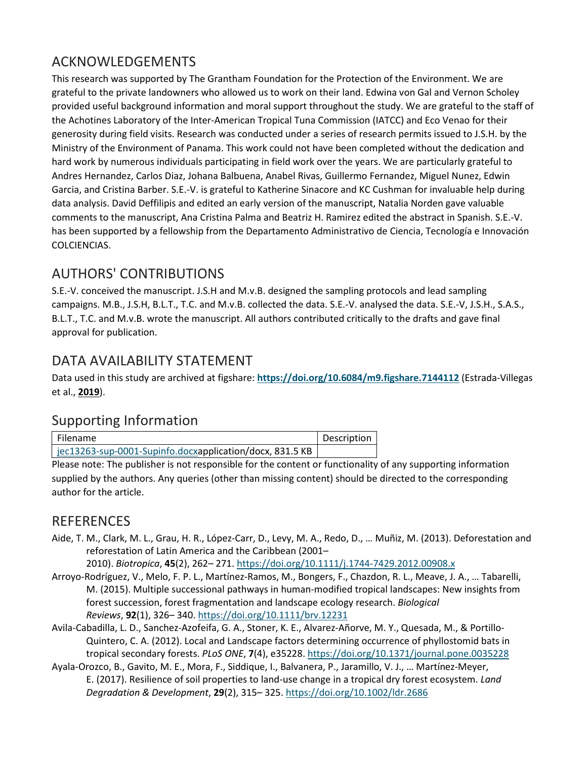# ACKNOWLEDGEMENTS

This research was supported by The Grantham Foundation for the Protection of the Environment. We are grateful to the private landowners who allowed us to work on their land. Edwina von Gal and Vernon Scholey provided useful background information and moral support throughout the study. We are grateful to the staff of the Achotines Laboratory of the Inter-American Tropical Tuna Commission (IATCC) and Eco Venao for their generosity during field visits. Research was conducted under a series of research permits issued to J.S.H. by the Ministry of the Environment of Panama. This work could not have been completed without the dedication and hard work by numerous individuals participating in field work over the years. We are particularly grateful to Andres Hernandez, Carlos Diaz, Johana Balbuena, Anabel Rivas, Guillermo Fernandez, Miguel Nunez, Edwin Garcia, and Cristina Barber. S.E.-V. is grateful to Katherine Sinacore and KC Cushman for invaluable help during data analysis. David Deffilipis and edited an early version of the manuscript, Natalia Norden gave valuable comments to the manuscript, Ana Cristina Palma and Beatriz H. Ramirez edited the abstract in Spanish. S.E.-V. has been supported by a fellowship from the Departamento Administrativo de Ciencia, Tecnología e Innovación COLCIENCIAS.

# AUTHORS' CONTRIBUTIONS

S.E.-V. conceived the manuscript. J.S.H and M.v.B. designed the sampling protocols and lead sampling campaigns. M.B., J.S.H, B.L.T., T.C. and M.v.B. collected the data. S.E.-V. analysed the data. S.E.-V, J.S.H., S.A.S., B.L.T., T.C. and M.v.B. wrote the manuscript. All authors contributed critically to the drafts and gave final approval for publication.

# DATA AVAILABILITY STATEMENT

Data used in this study are archived at figshare: **<https://doi.org/10.6084/m9.figshare.7144112>** (Estrada-Villegas et al., **[2019](https://besjournals.onlinelibrary.wiley.com/doi/full/10.1111/1365-2745.13263#jec13263-bib-0037)**).

### Supporting Information

| l Filename                                               | Description |
|----------------------------------------------------------|-------------|
| jec13263-sup-0001-Supinfo.docxapplication/docx, 831.5 KB |             |

Please note: The publisher is not responsible for the content or functionality of any supporting information supplied by the authors. Any queries (other than missing content) should be directed to the corresponding author for the article.

### REFERENCES

Aide, T. M., Clark, M. L., Grau, H. R., López-Carr, D., Levy, M. A., Redo, D., … Muñiz, M. (2013). Deforestation and reforestation of Latin America and the Caribbean (2001–

2010). *Biotropica*, **45**(2), 262– 271. <https://doi.org/10.1111/j.1744-7429.2012.00908.x>

Arroyo-Rodríguez, V., Melo, F. P. L., Martínez-Ramos, M., Bongers, F., Chazdon, R. L., Meave, J. A., … Tabarelli, M. (2015). Multiple successional pathways in human-modified tropical landscapes: New insights from forest succession, forest fragmentation and landscape ecology research. *Biological Reviews*, **92**(1), 326– 340. <https://doi.org/10.1111/brv.12231>

Avila-Cabadilla, L. D., Sanchez-Azofeifa, G. A., Stoner, K. E., Alvarez-Añorve, M. Y., Quesada, M., & Portillo-Quintero, C. A. (2012). Local and Landscape factors determining occurrence of phyllostomid bats in tropical secondary forests. *PLoS ONE*, **7**(4), e35228. <https://doi.org/10.1371/journal.pone.0035228>

Ayala-Orozco, B., Gavito, M. E., Mora, F., Siddique, I., Balvanera, P., Jaramillo, V. J., … Martínez-Meyer, E. (2017). Resilience of soil properties to land-use change in a tropical dry forest ecosystem. *Land Degradation & Development*, **29**(2), 315– 325. <https://doi.org/10.1002/ldr.2686>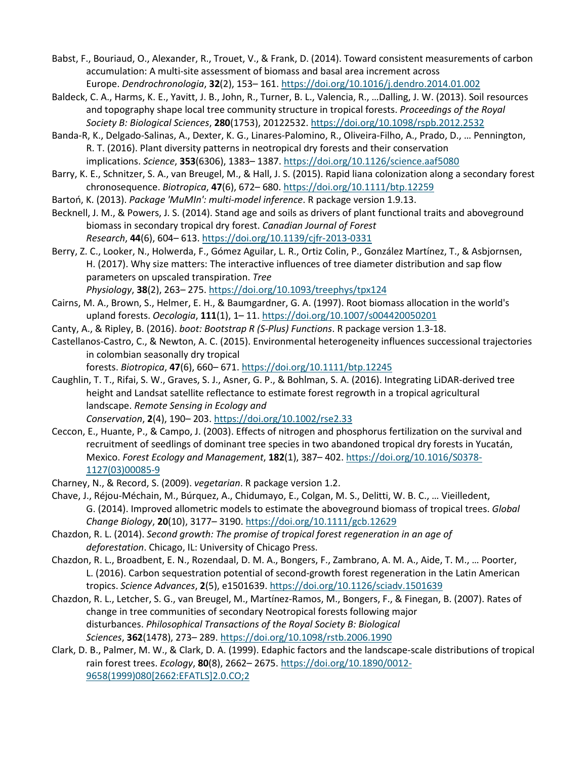Babst, F., Bouriaud, O., Alexander, R., Trouet, V., & Frank, D. (2014). Toward consistent measurements of carbon accumulation: A multi-site assessment of biomass and basal area increment across Europe. *Dendrochronologia*, **32**(2), 153– 161. <https://doi.org/10.1016/j.dendro.2014.01.002>

Baldeck, C. A., Harms, K. E., Yavitt, J. B., John, R., Turner, B. L., Valencia, R., …Dalling, J. W. (2013). Soil resources and topography shape local tree community structure in tropical forests. *Proceedings of the Royal Society B: Biological Sciences*, **280**(1753), 20122532. <https://doi.org/10.1098/rspb.2012.2532>

Banda-R, K., Delgado-Salinas, A., Dexter, K. G., Linares-Palomino, R., Oliveira-Filho, A., Prado, D., … Pennington, R. T. (2016). Plant diversity patterns in neotropical dry forests and their conservation implications. *Science*, **353**(6306), 1383– 1387. <https://doi.org/10.1126/science.aaf5080>

Barry, K. E., Schnitzer, S. A., van Breugel, M., & Hall, J. S. (2015). Rapid liana colonization along a secondary forest chronosequence. *Biotropica*, **47**(6), 672– 680. <https://doi.org/10.1111/btp.12259>

Bartoń, K. (2013). *Package 'MuMIn': multi-model inference*. R package version 1.9.13.

Becknell, J. M., & Powers, J. S. (2014). Stand age and soils as drivers of plant functional traits and aboveground biomass in secondary tropical dry forest. *Canadian Journal of Forest Research*, **44**(6), 604– 613. <https://doi.org/10.1139/cjfr-2013-0331>

Berry, Z. C., Looker, N., Holwerda, F., Gómez Aguilar, L. R., Ortiz Colin, P., González Martínez, T., & Asbjornsen, H. (2017). Why size matters: The interactive influences of tree diameter distribution and sap flow parameters on upscaled transpiration. *Tree Physiology*, **38**(2), 263– 275. <https://doi.org/10.1093/treephys/tpx124>

Cairns, M. A., Brown, S., Helmer, E. H., & Baumgardner, G. A. (1997). Root biomass allocation in the world's upland forests. *Oecologia*, **111**(1), 1– 11. <https://doi.org/10.1007/s004420050201>

Canty, A., & Ripley, B. (2016). *boot: Bootstrap R (S-Plus) Functions*. R package version 1.3-18.

Castellanos-Castro, C., & Newton, A. C. (2015). Environmental heterogeneity influences successional trajectories in colombian seasonally dry tropical

forests. *Biotropica*, **47**(6), 660– 671. <https://doi.org/10.1111/btp.12245>

Caughlin, T. T., Rifai, S. W., Graves, S. J., Asner, G. P., & Bohlman, S. A. (2016). Integrating LiDAR-derived tree height and Landsat satellite reflectance to estimate forest regrowth in a tropical agricultural landscape. *Remote Sensing in Ecology and Conservation*, **2**(4), 190– 203. <https://doi.org/10.1002/rse2.33>

Ceccon, E., Huante, P., & Campo, J. (2003). Effects of nitrogen and phosphorus fertilization on the survival and recruitment of seedlings of dominant tree species in two abandoned tropical dry forests in Yucatán, Mexico. *Forest Ecology and Management*, **182**(1), 387– 402. [https://doi.org/10.1016/S0378-](https://doi.org/10.1016/S0378-1127(03)00085-9) [1127\(03\)00085-9](https://doi.org/10.1016/S0378-1127(03)00085-9)

Charney, N., & Record, S. (2009). *vegetarian*. R package version 1.2.

Chave, J., Réjou-Méchain, M., Búrquez, A., Chidumayo, E., Colgan, M. S., Delitti, W. B. C., … Vieilledent, G. (2014). Improved allometric models to estimate the aboveground biomass of tropical trees. *Global Change Biology*, **20**(10), 3177– 3190. <https://doi.org/10.1111/gcb.12629>

Chazdon, R. L. (2014). *Second growth: The promise of tropical forest regeneration in an age of deforestation*. Chicago, IL: University of Chicago Press.

Chazdon, R. L., Broadbent, E. N., Rozendaal, D. M. A., Bongers, F., Zambrano, A. M. A., Aide, T. M., … Poorter, L. (2016). Carbon sequestration potential of second-growth forest regeneration in the Latin American tropics. *Science Advances*, **2**(5), e1501639. <https://doi.org/10.1126/sciadv.1501639>

Chazdon, R. L., Letcher, S. G., van Breugel, M., Martínez-Ramos, M., Bongers, F., & Finegan, B. (2007). Rates of change in tree communities of secondary Neotropical forests following major disturbances. *Philosophical Transactions of the Royal Society B: Biological Sciences*, **362**(1478), 273– 289. <https://doi.org/10.1098/rstb.2006.1990>

Clark, D. B., Palmer, M. W., & Clark, D. A. (1999). Edaphic factors and the landscape-scale distributions of tropical rain forest trees. *Ecology*, **80**(8), 2662– 2675. [https://doi.org/10.1890/0012-](https://doi.org/10.1890/0012-9658(1999)080%5B2662:EFATLS%5D2.0.CO;2) [9658\(1999\)080\[2662:EFATLS\]2.0.CO;2](https://doi.org/10.1890/0012-9658(1999)080%5B2662:EFATLS%5D2.0.CO;2)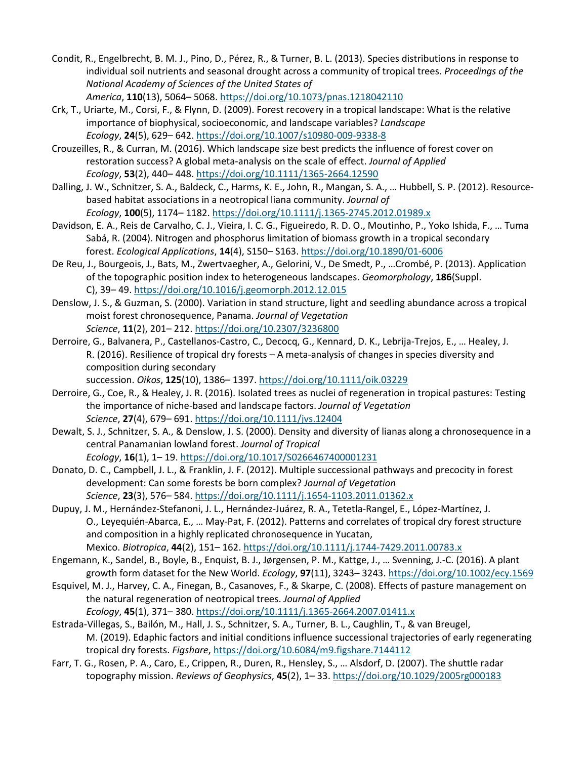- Condit, R., Engelbrecht, B. M. J., Pino, D., Pérez, R., & Turner, B. L. (2013). Species distributions in response to individual soil nutrients and seasonal drought across a community of tropical trees. *Proceedings of the National Academy of Sciences of the United States of America*, **110**(13), 5064– 5068. <https://doi.org/10.1073/pnas.1218042110>
- Crk, T., Uriarte, M., Corsi, F., & Flynn, D. (2009). Forest recovery in a tropical landscape: What is the relative importance of biophysical, socioeconomic, and landscape variables? *Landscape Ecology*, **24**(5), 629– 642. <https://doi.org/10.1007/s10980-009-9338-8>
- Crouzeilles, R., & Curran, M. (2016). Which landscape size best predicts the influence of forest cover on restoration success? A global meta-analysis on the scale of effect. *Journal of Applied Ecology*, **53**(2), 440– 448. <https://doi.org/10.1111/1365-2664.12590>
- Dalling, J. W., Schnitzer, S. A., Baldeck, C., Harms, K. E., John, R., Mangan, S. A., … Hubbell, S. P. (2012). Resourcebased habitat associations in a neotropical liana community. *Journal of Ecology*, **100**(5), 1174– 1182. <https://doi.org/10.1111/j.1365-2745.2012.01989.x>
- Davidson, E. A., Reis de Carvalho, C. J., Vieira, I. C. G., Figueiredo, R. D. O., Moutinho, P., Yoko Ishida, F., … Tuma Sabá, R. (2004). Nitrogen and phosphorus limitation of biomass growth in a tropical secondary forest. *Ecological Applications*, **14**(4), S150– S163. <https://doi.org/10.1890/01-6006>
- De Reu, J., Bourgeois, J., Bats, M., Zwertvaegher, A., Gelorini, V., De Smedt, P., …Crombé, P. (2013). Application of the topographic position index to heterogeneous landscapes. *Geomorphology*, **186**(Suppl. C), 39– 49. <https://doi.org/10.1016/j.geomorph.2012.12.015>
- Denslow, J. S., & Guzman, S. (2000). Variation in stand structure, light and seedling abundance across a tropical moist forest chronosequence, Panama. *Journal of Vegetation Science*, **11**(2), 201– 212. <https://doi.org/10.2307/3236800>
- Derroire, G., Balvanera, P., Castellanos-Castro, C., Decocq, G., Kennard, D. K., Lebrija-Trejos, E., … Healey, J. R. (2016). Resilience of tropical dry forests – A meta-analysis of changes in species diversity and composition during secondary

succession. *Oikos*, **125**(10), 1386– 1397. <https://doi.org/10.1111/oik.03229>

- Derroire, G., Coe, R., & Healey, J. R. (2016). Isolated trees as nuclei of regeneration in tropical pastures: Testing the importance of niche-based and landscape factors. *Journal of Vegetation Science*, **27**(4), 679– 691. <https://doi.org/10.1111/jvs.12404>
- Dewalt, S. J., Schnitzer, S. A., & Denslow, J. S. (2000). Density and diversity of lianas along a chronosequence in a central Panamanian lowland forest. *Journal of Tropical Ecology*, **16**(1), 1– 19. <https://doi.org/10.1017/S0266467400001231>
- Donato, D. C., Campbell, J. L., & Franklin, J. F. (2012). Multiple successional pathways and precocity in forest development: Can some forests be born complex? *Journal of Vegetation Science*, **23**(3), 576– 584. <https://doi.org/10.1111/j.1654-1103.2011.01362.x>
- Dupuy, J. M., Hernández-Stefanoni, J. L., Hernández-Juárez, R. A., Tetetla-Rangel, E., López-Martínez, J. O., Leyequién-Abarca, E., … May-Pat, F. (2012). Patterns and correlates of tropical dry forest structure and composition in a highly replicated chronosequence in Yucatan, Mexico. *Biotropica*, **44**(2), 151– 162. <https://doi.org/10.1111/j.1744-7429.2011.00783.x>
- Engemann, K., Sandel, B., Boyle, B., Enquist, B. J., Jørgensen, P. M., Kattge, J., … Svenning, J.-C. (2016). A plant growth form dataset for the New World. *Ecology*, **97**(11), 3243– 3243. <https://doi.org/10.1002/ecy.1569>
- Esquivel, M. J., Harvey, C. A., Finegan, B., Casanoves, F., & Skarpe, C. (2008). Effects of pasture management on the natural regeneration of neotropical trees. *Journal of Applied Ecology*, **45**(1), 371– 380. <https://doi.org/10.1111/j.1365-2664.2007.01411.x>
- Estrada-Villegas, S., Bailón, M., Hall, J. S., Schnitzer, S. A., Turner, B. L., Caughlin, T., & van Breugel, M. (2019). Edaphic factors and initial conditions influence successional trajectories of early regenerating tropical dry forests. *Figshare*, <https://doi.org/10.6084/m9.figshare.7144112>
- Farr, T. G., Rosen, P. A., Caro, E., Crippen, R., Duren, R., Hensley, S., … Alsdorf, D. (2007). The shuttle radar topography mission. *Reviews of Geophysics*, **45**(2), 1– 33. <https://doi.org/10.1029/2005rg000183>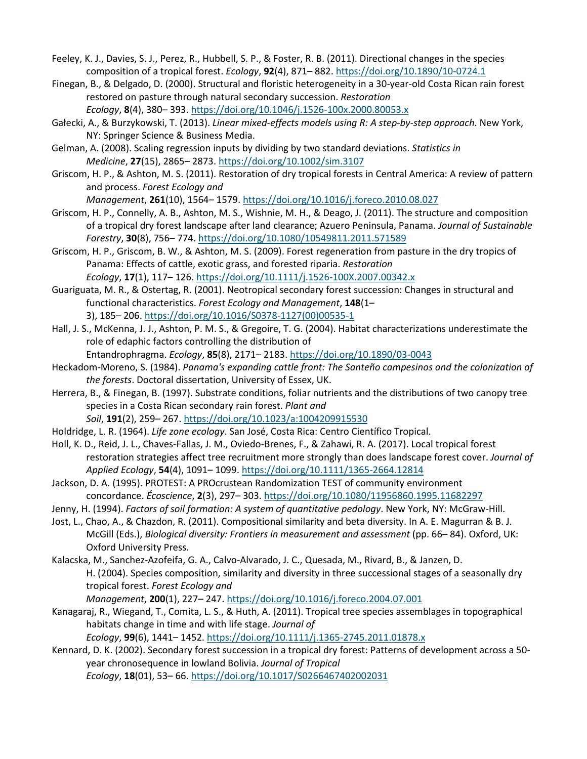Feeley, K. J., Davies, S. J., Perez, R., Hubbell, S. P., & Foster, R. B. (2011). Directional changes in the species composition of a tropical forest. *Ecology*, **92**(4), 871– 882. <https://doi.org/10.1890/10-0724.1>

Finegan, B., & Delgado, D. (2000). Structural and floristic heterogeneity in a 30-year-old Costa Rican rain forest restored on pasture through natural secondary succession. *Restoration Ecology*, **8**(4), 380– 393. <https://doi.org/10.1046/j.1526-100x.2000.80053.x>

Gałecki, A., & Burzykowski, T. (2013). *Linear mixed-effects models using R: A step-by-step approach*. New York, NY: Springer Science & Business Media.

Gelman, A. (2008). Scaling regression inputs by dividing by two standard deviations. *Statistics in Medicine*, **27**(15), 2865– 2873. <https://doi.org/10.1002/sim.3107>

Griscom, H. P., & Ashton, M. S. (2011). Restoration of dry tropical forests in Central America: A review of pattern and process. *Forest Ecology and* 

*Management*, **261**(10), 1564– 1579. <https://doi.org/10.1016/j.foreco.2010.08.027>

- Griscom, H. P., Connelly, A. B., Ashton, M. S., Wishnie, M. H., & Deago, J. (2011). The structure and composition of a tropical dry forest landscape after land clearance; Azuero Peninsula, Panama. *Journal of Sustainable Forestry*, **30**(8), 756– 774. <https://doi.org/10.1080/10549811.2011.571589>
- Griscom, H. P., Griscom, B. W., & Ashton, M. S. (2009). Forest regeneration from pasture in the dry tropics of Panama: Effects of cattle, exotic grass, and forested riparia. *Restoration Ecology*, **17**(1), 117– 126. <https://doi.org/10.1111/j.1526-100X.2007.00342.x>

Guariguata, M. R., & Ostertag, R. (2001). Neotropical secondary forest succession: Changes in structural and functional characteristics. *Forest Ecology and Management*, **148**(1– 3), 185– 206. [https://doi.org/10.1016/S0378-1127\(00\)00535-1](https://doi.org/10.1016/S0378-1127(00)00535-1)

Hall, J. S., McKenna, J. J., Ashton, P. M. S., & Gregoire, T. G. (2004). Habitat characterizations underestimate the role of edaphic factors controlling the distribution of

Entandrophragma. *Ecology*, **85**(8), 2171– 2183. <https://doi.org/10.1890/03-0043>

- Heckadom-Moreno, S. (1984). *Panama's expanding cattle front: The Santeño campesinos and the colonization of the forests*. Doctoral dissertation, University of Essex, UK.
- Herrera, B., & Finegan, B. (1997). Substrate conditions, foliar nutrients and the distributions of two canopy tree species in a Costa Rican secondary rain forest. *Plant and*

*Soil*, **191**(2), 259– 267. <https://doi.org/10.1023/a:1004209915530>

- Holdridge, L. R. (1964). *Life zone ecology*. San José, Costa Rica: Centro Científico Tropical.
- Holl, K. D., Reid, J. L., Chaves-Fallas, J. M., Oviedo-Brenes, F., & Zahawi, R. A. (2017). Local tropical forest restoration strategies affect tree recruitment more strongly than does landscape forest cover. *Journal of Applied Ecology*, **54**(4), 1091– 1099. <https://doi.org/10.1111/1365-2664.12814>
- Jackson, D. A. (1995). PROTEST: A PROcrustean Randomization TEST of community environment concordance. *Écoscience*, **2**(3), 297– 303. <https://doi.org/10.1080/11956860.1995.11682297>
- Jenny, H. (1994). *Factors of soil formation: A system of quantitative pedology*. New York, NY: McGraw-Hill.
- Jost, L., Chao, A., & Chazdon, R. (2011). Compositional similarity and beta diversity. In A. E. Magurran & B. J. McGill (Eds.), *Biological diversity: Frontiers in measurement and assessment* (pp. 66– 84). Oxford, UK: Oxford University Press.
- Kalacska, M., Sanchez-Azofeifa, G. A., Calvo-Alvarado, J. C., Quesada, M., Rivard, B., & Janzen, D. H. (2004). Species composition, similarity and diversity in three successional stages of a seasonally dry tropical forest. *Forest Ecology and Management*, **200**(1), 227– 247. <https://doi.org/10.1016/j.foreco.2004.07.001>
- Kanagaraj, R., Wiegand, T., Comita, L. S., & Huth, A. (2011). Tropical tree species assemblages in topographical habitats change in time and with life stage. *Journal of*

*Ecology*, **99**(6), 1441– 1452. <https://doi.org/10.1111/j.1365-2745.2011.01878.x>

Kennard, D. K. (2002). Secondary forest succession in a tropical dry forest: Patterns of development across a 50 year chronosequence in lowland Bolivia. *Journal of Tropical* 

*Ecology*, **18**(01), 53– 66. <https://doi.org/10.1017/S0266467402002031>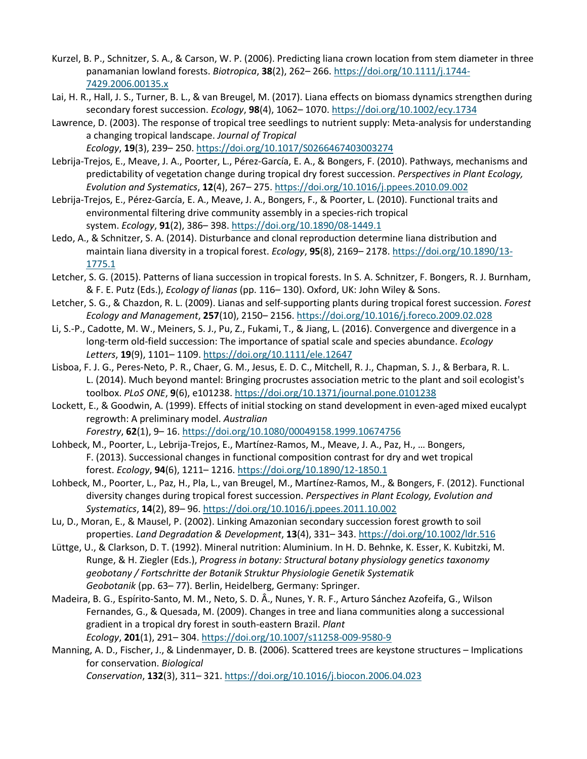- Kurzel, B. P., Schnitzer, S. A., & Carson, W. P. (2006). Predicting liana crown location from stem diameter in three panamanian lowland forests. *Biotropica*, **38**(2), 262– 266. [https://doi.org/10.1111/j.1744-](https://doi.org/10.1111/j.1744-7429.2006.00135.x) [7429.2006.00135.x](https://doi.org/10.1111/j.1744-7429.2006.00135.x)
- Lai, H. R., Hall, J. S., Turner, B. L., & van Breugel, M. (2017). Liana effects on biomass dynamics strengthen during secondary forest succession. *Ecology*, **98**(4), 1062– 1070. <https://doi.org/10.1002/ecy.1734>
- Lawrence, D. (2003). The response of tropical tree seedlings to nutrient supply: Meta-analysis for understanding a changing tropical landscape. *Journal of Tropical Ecology*, **19**(3), 239– 250. <https://doi.org/10.1017/S0266467403003274>
- Lebrija-Trejos, E., Meave, J. A., Poorter, L., Pérez-García, E. A., & Bongers, F. (2010). Pathways, mechanisms and predictability of vegetation change during tropical dry forest succession. *Perspectives in Plant Ecology, Evolution and Systematics*, **12**(4), 267– 275. <https://doi.org/10.1016/j.ppees.2010.09.002>
- Lebrija-Trejos, E., Pérez-García, E. A., Meave, J. A., Bongers, F., & Poorter, L. (2010). Functional traits and environmental filtering drive community assembly in a species-rich tropical system. *Ecology*, **91**(2), 386– 398. <https://doi.org/10.1890/08-1449.1>
- Ledo, A., & Schnitzer, S. A. (2014). Disturbance and clonal reproduction determine liana distribution and maintain liana diversity in a tropical forest. *Ecology*, **95**(8), 2169– 2178. [https://doi.org/10.1890/13-](https://doi.org/10.1890/13-1775.1) [1775.1](https://doi.org/10.1890/13-1775.1)
- Letcher, S. G. (2015). Patterns of liana succession in tropical forests. In S. A. Schnitzer, F. Bongers, R. J. Burnham, & F. E. Putz (Eds.), *Ecology of lianas* (pp. 116– 130). Oxford, UK: John Wiley & Sons.
- Letcher, S. G., & Chazdon, R. L. (2009). Lianas and self-supporting plants during tropical forest succession. *Forest Ecology and Management*, **257**(10), 2150– 2156. <https://doi.org/10.1016/j.foreco.2009.02.028>
- Li, S.-P., Cadotte, M. W., Meiners, S. J., Pu, Z., Fukami, T., & Jiang, L. (2016). Convergence and divergence in a long-term old-field succession: The importance of spatial scale and species abundance. *Ecology Letters*, **19**(9), 1101– 1109. <https://doi.org/10.1111/ele.12647>
- Lisboa, F. J. G., Peres-Neto, P. R., Chaer, G. M., Jesus, E. D. C., Mitchell, R. J., Chapman, S. J., & Berbara, R. L. L. (2014). Much beyond mantel: Bringing procrustes association metric to the plant and soil ecologist's toolbox. *PLoS ONE*, **9**(6), e101238. <https://doi.org/10.1371/journal.pone.0101238>
- Lockett, E., & Goodwin, A. (1999). Effects of initial stocking on stand development in even-aged mixed eucalypt regrowth: A preliminary model. *Australian Forestry*, **62**(1), 9– 16. <https://doi.org/10.1080/00049158.1999.10674756>

Lohbeck, M., Poorter, L., Lebrija-Trejos, E., Martínez-Ramos, M., Meave, J. A., Paz, H., … Bongers, F. (2013). Successional changes in functional composition contrast for dry and wet tropical

forest. *Ecology*, **94**(6), 1211– 1216. <https://doi.org/10.1890/12-1850.1>

- Lohbeck, M., Poorter, L., Paz, H., Pla, L., van Breugel, M., Martínez-Ramos, M., & Bongers, F. (2012). Functional diversity changes during tropical forest succession. *Perspectives in Plant Ecology, Evolution and Systematics*, **14**(2), 89– 96. <https://doi.org/10.1016/j.ppees.2011.10.002>
- Lu, D., Moran, E., & Mausel, P. (2002). Linking Amazonian secondary succession forest growth to soil properties. *Land Degradation & Development*, **13**(4), 331– 343. <https://doi.org/10.1002/ldr.516>
- Lüttge, U., & Clarkson, D. T. (1992). Mineral nutrition: Aluminium. In H. D. Behnke, K. Esser, K. Kubitzki, M. Runge, & H. Ziegler (Eds.), *Progress in botany: Structural botany physiology genetics taxonomy geobotany / Fortschritte der Botanik Struktur Physiologie Genetik Systematik Geobotanik* (pp. 63– 77). Berlin, Heidelberg, Germany: Springer.
- Madeira, B. G., Espírito-Santo, M. M., Neto, S. D. Â., Nunes, Y. R. F., Arturo Sánchez Azofeifa, G., Wilson Fernandes, G., & Quesada, M. (2009). Changes in tree and liana communities along a successional gradient in a tropical dry forest in south-eastern Brazil. *Plant Ecology*, **201**(1), 291– 304. <https://doi.org/10.1007/s11258-009-9580-9>
- Manning, A. D., Fischer, J., & Lindenmayer, D. B. (2006). Scattered trees are keystone structures Implications for conservation. *Biological*

*Conservation*, **132**(3), 311– 321. <https://doi.org/10.1016/j.biocon.2006.04.023>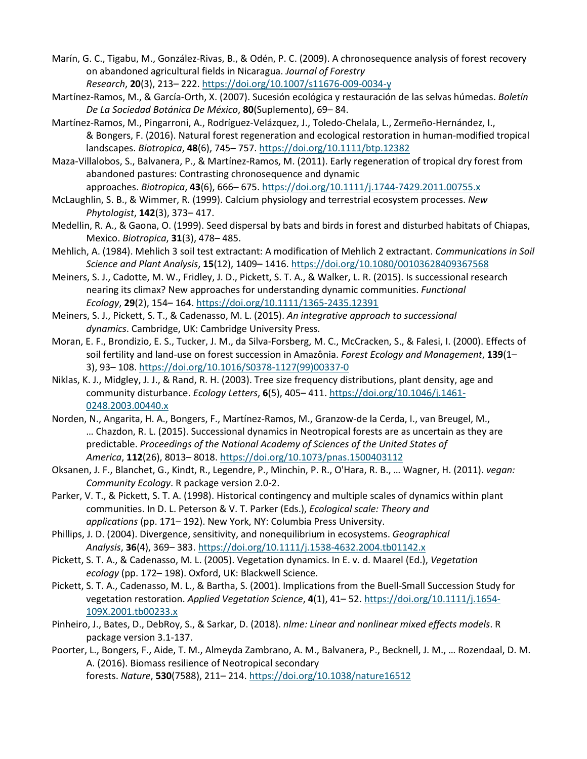- Marín, G. C., Tigabu, M., González-Rivas, B., & Odén, P. C. (2009). A chronosequence analysis of forest recovery on abandoned agricultural fields in Nicaragua. *Journal of Forestry Research*, **20**(3), 213– 222. <https://doi.org/10.1007/s11676-009-0034-y>
- Martínez-Ramos, M., & García-Orth, X. (2007). Sucesión ecológica y restauración de las selvas húmedas. *Boletín De La Sociedad Botánica De México*, **80**(Suplemento), 69– 84.
- Martínez-Ramos, M., Pingarroni, A., Rodríguez-Velázquez, J., Toledo-Chelala, L., Zermeño-Hernández, I., & Bongers, F. (2016). Natural forest regeneration and ecological restoration in human-modified tropical landscapes. *Biotropica*, **48**(6), 745– 757. <https://doi.org/10.1111/btp.12382>
- Maza-Villalobos, S., Balvanera, P., & Martínez-Ramos, M. (2011). Early regeneration of tropical dry forest from abandoned pastures: Contrasting chronosequence and dynamic approaches. *Biotropica*, **43**(6), 666– 675. <https://doi.org/10.1111/j.1744-7429.2011.00755.x>
- McLaughlin, S. B., & Wimmer, R. (1999). Calcium physiology and terrestrial ecosystem processes. *New Phytologist*, **142**(3), 373– 417.
- Medellin, R. A., & Gaona, O. (1999). Seed dispersal by bats and birds in forest and disturbed habitats of Chiapas, Mexico. *Biotropica*, **31**(3), 478– 485.
- Mehlich, A. (1984). Mehlich 3 soil test extractant: A modification of Mehlich 2 extractant. *Communications in Soil Science and Plant Analysis*, **15**(12), 1409– 1416. <https://doi.org/10.1080/00103628409367568>
- Meiners, S. J., Cadotte, M. W., Fridley, J. D., Pickett, S. T. A., & Walker, L. R. (2015). Is successional research nearing its climax? New approaches for understanding dynamic communities. *Functional Ecology*, **29**(2), 154– 164. <https://doi.org/10.1111/1365-2435.12391>
- Meiners, S. J., Pickett, S. T., & Cadenasso, M. L. (2015). *An integrative approach to successional dynamics*. Cambridge, UK: Cambridge University Press.
- Moran, E. F., Brondizio, E. S., Tucker, J. M., da Silva-Forsberg, M. C., McCracken, S., & Falesi, I. (2000). Effects of soil fertility and land-use on forest succession in Amazônia. *Forest Ecology and Management*, **139**(1– 3), 93– 108. [https://doi.org/10.1016/S0378-1127\(99\)00337-0](https://doi.org/10.1016/S0378-1127(99)00337-0)
- Niklas, K. J., Midgley, J. J., & Rand, R. H. (2003). Tree size frequency distributions, plant density, age and community disturbance. *Ecology Letters*, **6**(5), 405– 411. [https://doi.org/10.1046/j.1461-](https://doi.org/10.1046/j.1461-0248.2003.00440.x) [0248.2003.00440.x](https://doi.org/10.1046/j.1461-0248.2003.00440.x)
- Norden, N., Angarita, H. A., Bongers, F., Martínez-Ramos, M., Granzow-de la Cerda, I., van Breugel, M., … Chazdon, R. L. (2015). Successional dynamics in Neotropical forests are as uncertain as they are predictable. *Proceedings of the National Academy of Sciences of the United States of America*, **112**(26), 8013– 8018. <https://doi.org/10.1073/pnas.1500403112>
- Oksanen, J. F., Blanchet, G., Kindt, R., Legendre, P., Minchin, P. R., O'Hara, R. B., … Wagner, H. (2011). *vegan: Community Ecology*. R package version 2.0-2.
- Parker, V. T., & Pickett, S. T. A. (1998). Historical contingency and multiple scales of dynamics within plant communities. In D. L. Peterson & V. T. Parker (Eds.), *Ecological scale: Theory and applications* (pp. 171– 192). New York, NY: Columbia Press University.
- Phillips, J. D. (2004). Divergence, sensitivity, and nonequilibrium in ecosystems. *Geographical Analysis*, **36**(4), 369– 383. <https://doi.org/10.1111/j.1538-4632.2004.tb01142.x>
- Pickett, S. T. A., & Cadenasso, M. L. (2005). Vegetation dynamics. In E. v. d. Maarel (Ed.), *Vegetation ecology* (pp. 172– 198). Oxford, UK: Blackwell Science.
- Pickett, S. T. A., Cadenasso, M. L., & Bartha, S. (2001). Implications from the Buell-Small Succession Study for vegetation restoration. *Applied Vegetation Science*, **4**(1), 41– 52. [https://doi.org/10.1111/j.1654-](https://doi.org/10.1111/j.1654-109X.2001.tb00233.x) [109X.2001.tb00233.x](https://doi.org/10.1111/j.1654-109X.2001.tb00233.x)
- Pinheiro, J., Bates, D., DebRoy, S., & Sarkar, D. (2018). *nlme: Linear and nonlinear mixed effects models*. R package version 3.1-137.
- Poorter, L., Bongers, F., Aide, T. M., Almeyda Zambrano, A. M., Balvanera, P., Becknell, J. M., … Rozendaal, D. M. A. (2016). Biomass resilience of Neotropical secondary forests. *Nature*, **530**(7588), 211– 214. <https://doi.org/10.1038/nature16512>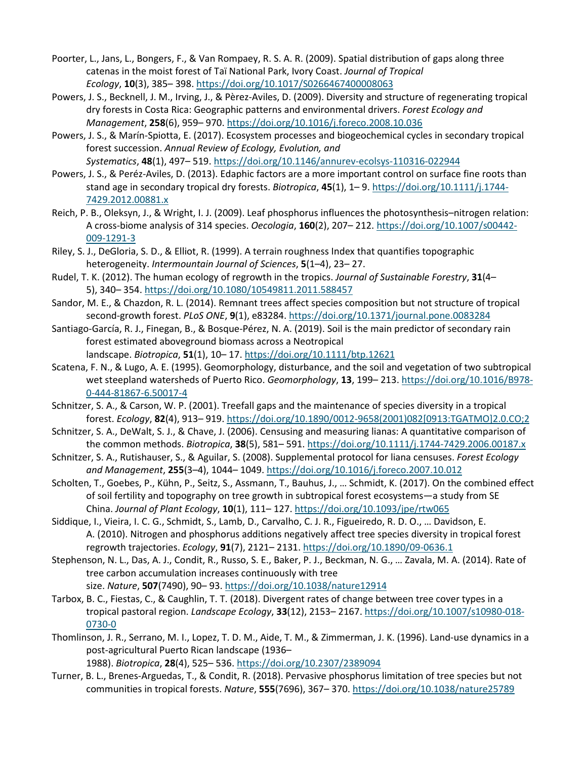- Poorter, L., Jans, L., Bongers, F., & Van Rompaey, R. S. A. R. (2009). Spatial distribution of gaps along three catenas in the moist forest of Taï National Park, Ivory Coast. *Journal of Tropical Ecology*, **10**(3), 385– 398. <https://doi.org/10.1017/S0266467400008063>
- Powers, J. S., Becknell, J. M., Irving, J., & Pèrez-Aviles, D. (2009). Diversity and structure of regenerating tropical dry forests in Costa Rica: Geographic patterns and environmental drivers. *Forest Ecology and Management*, **258**(6), 959– 970. <https://doi.org/10.1016/j.foreco.2008.10.036>
- Powers, J. S., & Marín-Spiotta, E. (2017). Ecosystem processes and biogeochemical cycles in secondary tropical forest succession. *Annual Review of Ecology, Evolution, and Systematics*, **48**(1), 497– 519. <https://doi.org/10.1146/annurev-ecolsys-110316-022944>
- Powers, J. S., & Peréz-Aviles, D. (2013). Edaphic factors are a more important control on surface fine roots than stand age in secondary tropical dry forests. *Biotropica*, **45**(1), 1– 9. [https://doi.org/10.1111/j.1744-](https://doi.org/10.1111/j.1744-7429.2012.00881.x) [7429.2012.00881.x](https://doi.org/10.1111/j.1744-7429.2012.00881.x)
- Reich, P. B., Oleksyn, J., & Wright, I. J. (2009). Leaf phosphorus influences the photosynthesis–nitrogen relation: A cross-biome analysis of 314 species. *Oecologia*, **160**(2), 207– 212. [https://doi.org/10.1007/s00442-](https://doi.org/10.1007/s00442-009-1291-3) [009-1291-3](https://doi.org/10.1007/s00442-009-1291-3)
- Riley, S. J., DeGloria, S. D., & Elliot, R. (1999). A terrain roughness Index that quantifies topographic heterogeneity. *Intermountain Journal of Sciences*, **5**(1–4), 23– 27.
- Rudel, T. K. (2012). The human ecology of regrowth in the tropics. *Journal of Sustainable Forestry*, **31**(4– 5), 340– 354. <https://doi.org/10.1080/10549811.2011.588457>
- Sandor, M. E., & Chazdon, R. L. (2014). Remnant trees affect species composition but not structure of tropical second-growth forest. *PLoS ONE*, **9**(1), e83284. <https://doi.org/10.1371/journal.pone.0083284>
- Santiago-García, R. J., Finegan, B., & Bosque-Pérez, N. A. (2019). Soil is the main predictor of secondary rain forest estimated aboveground biomass across a Neotropical landscape. *Biotropica*, **51**(1), 10– 17. <https://doi.org/10.1111/btp.12621>
- Scatena, F. N., & Lugo, A. E. (1995). Geomorphology, disturbance, and the soil and vegetation of two subtropical wet steepland watersheds of Puerto Rico. *Geomorphology*, **13**, 199– 213. [https://doi.org/10.1016/B978-](https://doi.org/10.1016/B978-0-444-81867-6.50017-4) [0-444-81867-6.50017-4](https://doi.org/10.1016/B978-0-444-81867-6.50017-4)
- Schnitzer, S. A., & Carson, W. P. (2001). Treefall gaps and the maintenance of species diversity in a tropical forest. *Ecology*, **82**(4), 913– 919. [https://doi.org/10.1890/0012-9658\(2001\)082\[0913:TGATMO\]2.0.CO;2](https://doi.org/10.1890/0012-9658(2001)082%5B0913:TGATMO%5D2.0.CO;2)
- Schnitzer, S. A., DeWalt, S. J., & Chave, J. (2006). Censusing and measuring lianas: A quantitative comparison of the common methods. *Biotropica*, **38**(5), 581– 591. <https://doi.org/10.1111/j.1744-7429.2006.00187.x>
- Schnitzer, S. A., Rutishauser, S., & Aguilar, S. (2008). Supplemental protocol for liana censuses. *Forest Ecology and Management*, **255**(3–4), 1044– 1049. <https://doi.org/10.1016/j.foreco.2007.10.012>
- Scholten, T., Goebes, P., Kühn, P., Seitz, S., Assmann, T., Bauhus, J., … Schmidt, K. (2017). On the combined effect of soil fertility and topography on tree growth in subtropical forest ecosystems—a study from SE China. *Journal of Plant Ecology*, **10**(1), 111– 127. <https://doi.org/10.1093/jpe/rtw065>
- Siddique, I., Vieira, I. C. G., Schmidt, S., Lamb, D., Carvalho, C. J. R., Figueiredo, R. D. O., … Davidson, E. A. (2010). Nitrogen and phosphorus additions negatively affect tree species diversity in tropical forest regrowth trajectories. *Ecology*, **91**(7), 2121– 2131. <https://doi.org/10.1890/09-0636.1>
- Stephenson, N. L., Das, A. J., Condit, R., Russo, S. E., Baker, P. J., Beckman, N. G., … Zavala, M. A. (2014). Rate of tree carbon accumulation increases continuously with tree size. *Nature*, **507**(7490), 90– 93. <https://doi.org/10.1038/nature12914>
- Tarbox, B. C., Fiestas, C., & Caughlin, T. T. (2018). Divergent rates of change between tree cover types in a tropical pastoral region. *Landscape Ecology*, **33**(12), 2153– 2167. [https://doi.org/10.1007/s10980-018-](https://doi.org/10.1007/s10980-018-0730-0) [0730-0](https://doi.org/10.1007/s10980-018-0730-0)
- Thomlinson, J. R., Serrano, M. I., Lopez, T. D. M., Aide, T. M., & Zimmerman, J. K. (1996). Land-use dynamics in a post-agricultural Puerto Rican landscape (1936– 1988). *Biotropica*, **28**(4), 525– 536. <https://doi.org/10.2307/2389094>
- Turner, B. L., Brenes-Arguedas, T., & Condit, R. (2018). Pervasive phosphorus limitation of tree species but not communities in tropical forests. *Nature*, **555**(7696), 367– 370. <https://doi.org/10.1038/nature25789>